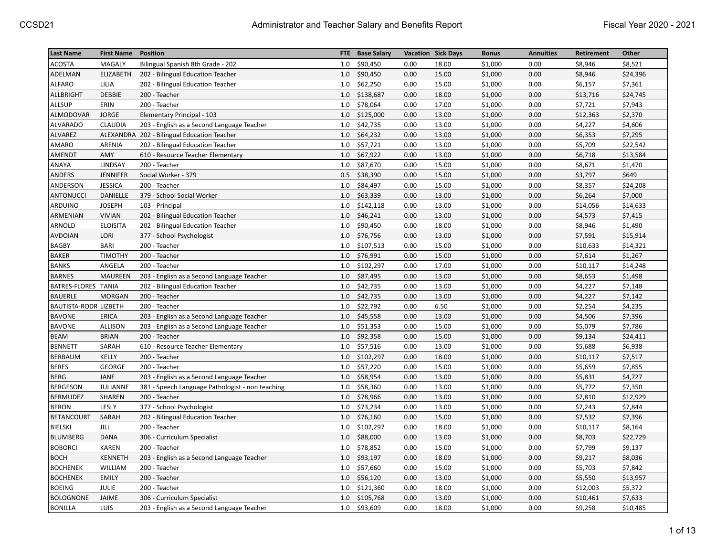| <b>Last Name</b>              | <b>First Name</b> | <b>Position</b>                                  | FTE. | <b>Base Salary</b> |      | <b>Vacation Sick Days</b> | <b>Bonus</b> | <b>Annuities</b> | Retirement | Other    |
|-------------------------------|-------------------|--------------------------------------------------|------|--------------------|------|---------------------------|--------------|------------------|------------|----------|
| ACOSTA                        | MAGALY            | Bilingual Spanish 8th Grade - 202                | 1.0  | \$90,450           | 0.00 | 18.00                     | \$1,000      | 0.00             | \$8,946    | \$8,521  |
| ADELMAN                       | ELIZABETH         | 202 - Bilingual Education Teacher                | 1.0  | \$90,450           | 0.00 | 15.00                     | \$1,000      | 0.00             | \$8,946    | \$24,396 |
| <b>ALFARO</b>                 | LILIA             | 202 - Bilingual Education Teacher                | 1.0  | \$62,250           | 0.00 | 15.00                     | \$1,000      | 0.00             | \$6,157    | \$7,361  |
| <b>ALLBRIGHT</b>              | <b>DEBBIE</b>     | 200 - Teacher                                    | 1.0  | \$138,687          | 0.00 | 18.00                     | \$1,000      | 0.00             | \$13,716   | \$24,745 |
| <b>ALLSUP</b>                 | ERIN              | 200 - Teacher                                    | 1.0  | \$78,064           | 0.00 | 17.00                     | \$1,000      | 0.00             | \$7,721    | \$7,943  |
| ALMODOVAR                     | <b>JORGE</b>      | Elementary Principal - 103                       | 1.0  | \$125,000          | 0.00 | 13.00                     | \$1,000      | 0.00             | \$12,363   | \$2,370  |
| <b>ALVARADO</b>               | <b>CLAUDIA</b>    | 203 - English as a Second Language Teacher       | 1.0  | \$42,735           | 0.00 | 13.00                     | \$1,000      | 0.00             | \$4,227    | \$4,606  |
| ALVAREZ                       |                   | ALEXANDRA 202 - Bilingual Education Teacher      | 1.0  | \$64,232           | 0.00 | 13.00                     | \$1,000      | 0.00             | \$6,353    | \$7,295  |
| AMARO                         | ARENIA            | 202 - Bilingual Education Teacher                | 1.0  | \$57,721           | 0.00 | 13.00                     | \$1,000      | 0.00             | \$5,709    | \$22,542 |
| AMENDT                        | AMY               | 610 - Resource Teacher Elementary                | 1.0  | \$67,922           | 0.00 | 13.00                     | \$1,000      | 0.00             | \$6,718    | \$13,584 |
| ANAYA                         | LINDSAY           | 200 - Teacher                                    | 1.0  | \$87,670           | 0.00 | 15.00                     | \$1,000      | 0.00             | \$8,671    | \$1,470  |
| <b>ANDERS</b>                 | <b>JENNIFER</b>   | Social Worker - 379                              | 0.5  | \$38,390           | 0.00 | 15.00                     | \$1,000      | 0.00             | \$3,797    | \$649    |
| ANDERSON                      | <b>JESSICA</b>    | 200 - Teacher                                    | 1.0  | \$84,497           | 0.00 | 15.00                     | \$1,000      | 0.00             | \$8,357    | \$24,208 |
| <b>ANTONUCCI</b>              | DANIELLE          | 379 - School Social Worker                       | 1.0  | \$63,339           | 0.00 | 13.00                     | \$1,000      | 0.00             | \$6,264    | \$7,000  |
| ARDUINO                       | <b>JOSEPH</b>     | 103 - Principal                                  | 1.0  | \$142,118          | 0.00 | 13.00                     | \$1,000      | 0.00             | \$14,056   | \$14,633 |
| ARMENIAN                      | <b>VIVIAN</b>     | 202 - Bilingual Education Teacher                | 1.0  | \$46,241           | 0.00 | 13.00                     | \$1,000      | 0.00             | \$4,573    | \$7,415  |
| ARNOLD                        | <b>ELOISITA</b>   | 202 - Bilingual Education Teacher                | 1.0  | \$90,450           | 0.00 | 18.00                     | \$1,000      | 0.00             | \$8,946    | \$1,490  |
| <b>AVDOIAN</b>                | LORI              | 377 - School Psychologist                        | 1.0  | \$76,756           | 0.00 | 13.00                     | \$1,000      | 0.00             | \$7,591    | \$15,914 |
| <b>BAGBY</b>                  | <b>BARI</b>       | 200 - Teacher                                    | 1.0  | \$107,513          | 0.00 | 15.00                     | \$1,000      | 0.00             | \$10,633   | \$14,321 |
| <b>BAKER</b>                  | <b>TIMOTHY</b>    | 200 - Teacher                                    | 1.0  | \$76,991           | 0.00 | 15.00                     | \$1,000      | 0.00             | \$7,614    | \$1,267  |
| <b>BANKS</b>                  | ANGELA            | 200 - Teacher                                    | 1.0  | \$102,297          | 0.00 | 17.00                     | \$1,000      | 0.00             | \$10,117   | \$14,248 |
| <b>BARNES</b>                 | <b>MAUREEN</b>    | 203 - English as a Second Language Teacher       | 1.0  | \$87,495           | 0.00 | 13.00                     | \$1,000      | 0.00             | \$8,653    | \$1,498  |
| BATRES-FLORES TANIA           |                   | 202 - Bilingual Education Teacher                | 1.0  | \$42,735           | 0.00 | 13.00                     | \$1,000      | 0.00             | \$4,227    | \$7,148  |
| <b>BAUERLE</b>                | <b>MORGAN</b>     | 200 - Teacher                                    | 1.0  | \$42,735           | 0.00 | 13.00                     | \$1,000      | 0.00             | \$4,227    | \$7,142  |
| <b>BAUTISTA-RODRI LIZBETH</b> |                   | 200 - Teacher                                    | 1.0  | \$22,792           | 0.00 | 6.50                      | \$1,000      | 0.00             | \$2,254    | \$4,235  |
| <b>BAVONE</b>                 | ERICA             | 203 - English as a Second Language Teacher       | 1.0  | \$45,558           | 0.00 | 13.00                     | \$1,000      | 0.00             | \$4,506    | \$7,396  |
| <b>BAVONE</b>                 | <b>ALLISON</b>    | 203 - English as a Second Language Teacher       | 1.0  | \$51,353           | 0.00 | 15.00                     | \$1,000      | 0.00             | \$5,079    | \$7,786  |
| <b>BEAM</b>                   | <b>BRIAN</b>      | 200 - Teacher                                    | 1.0  | \$92,358           | 0.00 | 15.00                     | \$1,000      | 0.00             | \$9,134    | \$24,411 |
| <b>BENNETT</b>                | SARAH             | 610 - Resource Teacher Elementary                | 1.0  | \$57,516           | 0.00 | 13.00                     | \$1,000      | 0.00             | \$5,688    | \$6,938  |
| <b>BERBAUM</b>                | KELLY             | 200 - Teacher                                    | 1.0  | \$102,297          | 0.00 | 18.00                     | \$1,000      | 0.00             | \$10,117   | \$7,517  |
| <b>BERES</b>                  | <b>GEORGE</b>     | 200 - Teacher                                    | 1.0  | \$57,220           | 0.00 | 15.00                     | \$1,000      | 0.00             | \$5,659    | \$7,855  |
| <b>BERG</b>                   | JANE              | 203 - English as a Second Language Teacher       | 1.0  | \$58,954           | 0.00 | 13.00                     | \$1,000      | 0.00             | \$5,831    | \$4,727  |
| <b>BERGESON</b>               | JULIANNE          | 381 - Speech Language Pathologist - non teaching | 1.0  | \$58,360           | 0.00 | 13.00                     | \$1,000      | 0.00             | \$5,772    | \$7,350  |
| <b>BERMUDEZ</b>               | SHAREN            | 200 - Teacher                                    | 1.0  | \$78,966           | 0.00 | 13.00                     | \$1,000      | 0.00             | \$7,810    | \$12,929 |
| <b>BERON</b>                  | LESLY             | 377 - School Psychologist                        | 1.0  | \$73,234           | 0.00 | 13.00                     | \$1,000      | 0.00             | \$7,243    | \$7,844  |
| <b>BETANCOURT</b>             | SARAH             | 202 - Bilingual Education Teacher                | 1.0  | \$76,160           | 0.00 | 15.00                     | \$1,000      | 0.00             | \$7,532    | \$7,396  |
| BIELSKI                       | JILL              | 200 - Teacher                                    | 1.0  | \$102,297          | 0.00 | 18.00                     | \$1,000      | 0.00             | \$10,117   | \$8,164  |
| <b>BLUMBERG</b>               | <b>DANA</b>       | 306 - Curriculum Specialist                      | 1.0  | \$88,000           | 0.00 | 13.00                     | \$1,000      | 0.00             | \$8,703    | \$22,729 |
| <b>BOBORCI</b>                | <b>KAREN</b>      | 200 - Teacher                                    | 1.0  | \$78,852           | 0.00 | 15.00                     | \$1,000      | 0.00             | \$7,799    | \$9,137  |
| <b>BOCH</b>                   | <b>KENNETH</b>    | 203 - English as a Second Language Teacher       | 1.0  | \$93,197           | 0.00 | 18.00                     | \$1,000      | 0.00             | \$9,217    | \$8,036  |
| <b>BOCHENEK</b>               | WILLIAM           | 200 - Teacher                                    | 1.0  | \$57,660           | 0.00 | 15.00                     | \$1,000      | 0.00             | \$5,703    | \$7,842  |
| <b>BOCHENEK</b>               | <b>EMILY</b>      | 200 - Teacher                                    | 1.0  | \$56,120           | 0.00 | 13.00                     | \$1,000      | 0.00             | \$5,550    | \$13,957 |
| <b>BOEING</b>                 | JULIE             | 200 - Teacher                                    | 1.0  | \$121,360          | 0.00 | 18.00                     | \$1,000      | 0.00             | \$12,003   | \$5,372  |
| <b>BOLOGNONE</b>              | JAIME             | 306 - Curriculum Specialist                      | 1.0  | \$105,768          | 0.00 | 13.00                     | \$1,000      | 0.00             | \$10,461   | \$7,633  |
| <b>BONILLA</b>                | LUIS              | 203 - English as a Second Language Teacher       | 1.0  | \$93,609           | 0.00 | 18.00                     | \$1,000      | 0.00             | \$9,258    | \$10,485 |
|                               |                   |                                                  |      |                    |      |                           |              |                  |            |          |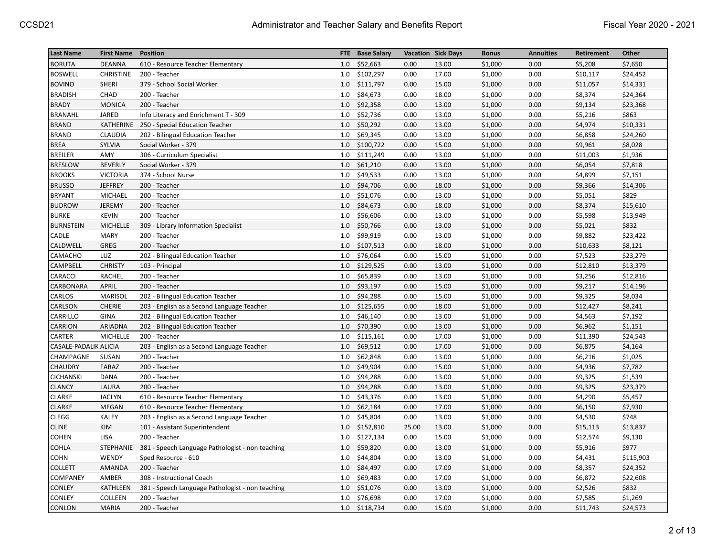| <b>Last Name</b>      | <b>First Name</b> | <b>Position</b>                                  | FTE | <b>Base Salary</b> |       | <b>Vacation Sick Days</b> | <b>Bonus</b> | <b>Annuities</b> | Retirement | Other     |
|-----------------------|-------------------|--------------------------------------------------|-----|--------------------|-------|---------------------------|--------------|------------------|------------|-----------|
| <b>BORUTA</b>         | <b>DEANNA</b>     | 610 - Resource Teacher Elementary                | 1.0 | \$52,663           | 0.00  | 13.00                     | \$1,000      | 0.00             | \$5,208    | \$7,650   |
| <b>BOSWELL</b>        | <b>CHRISTINE</b>  | 200 - Teacher                                    | 1.0 | \$102,297          | 0.00  | 17.00                     | \$1,000      | 0.00             | \$10,117   | \$24,452  |
| <b>BOVINO</b>         | SHERI             | 379 - School Social Worker                       | 1.0 | \$111,797          | 0.00  | 15.00                     | \$1,000      | 0.00             | \$11,057   | \$14,331  |
| <b>BRADISH</b>        | CHAD              | 200 - Teacher                                    | 1.0 | \$84,673           | 0.00  | 18.00                     | \$1,000      | 0.00             | \$8,374    | \$24,364  |
| <b>BRADY</b>          | <b>MONICA</b>     | 200 - Teacher                                    | 1.0 | \$92,358           | 0.00  | 13.00                     | \$1,000      | 0.00             | \$9,134    | \$23,368  |
| <b>BRANAHL</b>        | JARED             | Info Literacy and Enrichment T - 309             | 1.0 | \$52,736           | 0.00  | 13.00                     | \$1,000      | 0.00             | \$5,216    | \$863     |
| <b>BRAND</b>          | KATHERINE         | 250 - Special Education Teacher                  | 1.0 | \$50,292           | 0.00  | 13.00                     | \$1,000      | 0.00             | \$4,974    | \$10,331  |
| <b>BRAND</b>          | <b>CLAUDIA</b>    | 202 - Bilingual Education Teacher                | 1.0 | \$69,345           | 0.00  | 13.00                     | \$1,000      | 0.00             | \$6,858    | \$24,260  |
| <b>BREA</b>           | SYLVIA            | Social Worker - 379                              | 1.0 | \$100,722          | 0.00  | 15.00                     | \$1,000      | 0.00             | \$9,961    | \$8,028   |
| <b>BREILER</b>        | AMY               | 306 - Curriculum Specialist                      | 1.0 | \$111,249          | 0.00  | 13.00                     | \$1,000      | 0.00             | \$11,003   | \$1,936   |
| <b>BRESLOW</b>        | <b>BEVERLY</b>    | Social Worker - 379                              | 1.0 | \$61,210           | 0.00  | 13.00                     | \$1,000      | 0.00             | \$6,054    | \$7,818   |
| <b>BROOKS</b>         | <b>VICTORIA</b>   | 374 - School Nurse                               | 1.0 | \$49,533           | 0.00  | 13.00                     | \$1,000      | 0.00             | \$4,899    | \$7,151   |
| <b>BRUSSO</b>         | <b>JEFFREY</b>    | 200 - Teacher                                    | 1.0 | \$94,706           | 0.00  | 18.00                     | \$1,000      | 0.00             | \$9,366    | \$14,306  |
| <b>BRYANT</b>         | MICHAEL           | 200 - Teacher                                    | 1.0 | \$51,076           | 0.00  | 13.00                     | \$1,000      | 0.00             | \$5,051    | \$829     |
| <b>BUDROW</b>         | <b>JEREMY</b>     | 200 - Teacher                                    | 1.0 | \$84,673           | 0.00  | 18.00                     | \$1,000      | 0.00             | \$8,374    | \$15,610  |
| <b>BURKE</b>          | <b>KEVIN</b>      | 200 - Teacher                                    | 1.0 | \$56,606           | 0.00  | 13.00                     | \$1,000      | 0.00             | \$5,598    | \$13,949  |
| <b>BURNSTEIN</b>      | <b>MICHELLE</b>   | 309 - Library Information Specialist             | 1.0 | \$50,766           | 0.00  | 13.00                     | \$1,000      | 0.00             | \$5,021    | \$832     |
| CADLE                 | <b>MARY</b>       | 200 - Teacher                                    | 1.0 | \$99,919           | 0.00  | 13.00                     | \$1,000      | 0.00             | \$9,882    | \$23,422  |
| CALDWELL              | GREG              | 200 - Teacher                                    | 1.0 | \$107,513          | 0.00  | 18.00                     | \$1,000      | 0.00             | \$10,633   | \$8,121   |
| CAMACHO               | LUZ               | 202 - Bilingual Education Teacher                | 1.0 | \$76,064           | 0.00  | 15.00                     | \$1,000      | 0.00             | \$7,523    | \$23,279  |
| CAMPBELL              | <b>CHRISTY</b>    | 103 - Principal                                  | 1.0 | \$129,525          | 0.00  | 13.00                     | \$1,000      | 0.00             | \$12,810   | \$13,379  |
| <b>CARACCI</b>        | <b>RACHEL</b>     | 200 - Teacher                                    | 1.0 | \$65,839           | 0.00  | 13.00                     | \$1,000      | 0.00             | \$3,256    | \$12,816  |
| CARBONARA             | <b>APRIL</b>      | 200 - Teacher                                    | 1.0 | \$93,197           | 0.00  | 15.00                     | \$1,000      | 0.00             | \$9,217    | \$14,196  |
| CARLOS                | <b>MARISOL</b>    | 202 - Bilingual Education Teacher                | 1.0 | \$94,288           | 0.00  | 15.00                     | \$1,000      | 0.00             | \$9,325    | \$8,034   |
| CARLSON               | <b>CHERIE</b>     | 203 - English as a Second Language Teacher       | 1.0 | \$125,655          | 0.00  | 18.00                     | \$1,000      | 0.00             | \$12,427   | \$8,241   |
| CARRILLO              | <b>GINA</b>       | 202 - Bilingual Education Teacher                | 1.0 | \$46,140           | 0.00  | 13.00                     | \$1,000      | 0.00             | \$4,563    | \$7,192   |
| <b>CARRION</b>        | ARIADNA           | 202 - Bilingual Education Teacher                | 1.0 | \$70,390           | 0.00  | 13.00                     | \$1,000      | 0.00             | \$6,962    | \$1,151   |
| CARTER                | <b>MICHELLE</b>   | 200 - Teacher                                    | 1.0 | \$115,161          | 0.00  | 17.00                     | \$1,000      | 0.00             | \$11,390   | \$24,543  |
| CASALE-PADALIK ALICIA |                   | 203 - English as a Second Language Teacher       | 1.0 | \$69,512           | 0.00  | 17.00                     | \$1,000      | 0.00             | \$6,875    | \$4,164   |
| CHAMPAGNE             | SUSAN             | 200 - Teacher                                    | 1.0 | \$62,848           | 0.00  | 13.00                     | \$1,000      | 0.00             | \$6,216    | \$1,025   |
| CHAUDRY               | FARAZ             | 200 - Teacher                                    | 1.0 | \$49,904           | 0.00  | 15.00                     | \$1,000      | 0.00             | \$4,936    | \$7,782   |
| CICHANSKI             | DANA              | 200 - Teacher                                    | 1.0 | \$94,288           | 0.00  | 13.00                     | \$1,000      | 0.00             | \$9,325    | \$1,539   |
| <b>CLANCY</b>         | LAURA             | 200 - Teacher                                    | 1.0 | \$94,288           | 0.00  | 13.00                     | \$1,000      | 0.00             | \$9,325    | \$23,379  |
| <b>CLARKE</b>         | <b>JACLYN</b>     | 610 - Resource Teacher Elementary                | 1.0 | \$43,376           | 0.00  | 13.00                     | \$1,000      | 0.00             | \$4,290    | \$5,457   |
| <b>CLARKE</b>         | <b>MEGAN</b>      | 610 - Resource Teacher Elementary                | 1.0 | \$62,184           | 0.00  | 17.00                     | \$1,000      | 0.00             | \$6,150    | \$7,930   |
| <b>CLEGG</b>          | <b>KALEY</b>      | 203 - English as a Second Language Teacher       | 1.0 | \$45,804           | 0.00  | 13.00                     | \$1,000      | 0.00             | \$4,530    | \$748     |
| <b>CLINE</b>          | KIM               | 101 - Assistant Superintendent                   | 1.0 | \$152,810          | 25.00 | 13.00                     | \$1,000      | 0.00             | \$15,113   | \$13,837  |
| <b>COHEN</b>          | <b>LISA</b>       | 200 - Teacher                                    | 1.0 | \$127,134          | 0.00  | 15.00                     | \$1,000      | 0.00             | \$12,574   | \$9,130   |
| COHLA                 | <b>STEPHANIE</b>  | 381 - Speech Language Pathologist - non teaching | 1.0 | \$59,820           | 0.00  | 13.00                     | \$1,000      | 0.00             | \$5,916    | \$977     |
| COHN                  | WENDY             | Sped Resource - 610                              | 1.0 | \$44,804           | 0.00  | 13.00                     | \$1,000      | 0.00             | \$4,431    | \$115,903 |
| <b>COLLETT</b>        | AMANDA            | 200 - Teacher                                    | 1.0 | \$84,497           | 0.00  | 17.00                     | \$1,000      | 0.00             | \$8,357    | \$24,352  |
| COMPANEY              | AMBER             | 308 - Instructional Coach                        | 1.0 | \$69,483           | 0.00  | 17.00                     | \$1,000      | 0.00             | \$6,872    | \$22,608  |
| <b>CONLEY</b>         | KATHLEEN          | 381 - Speech Language Pathologist - non teaching | 1.0 | \$51,076           | 0.00  | 13.00                     | \$1,000      | 0.00             | \$2,526    | \$832     |
| CONLEY                | COLLEEN           | 200 - Teacher                                    | 1.0 | \$76,698           | 0.00  | 17.00                     | \$1,000      | 0.00             | \$7,585    | \$1,269   |
| CONLON                | <b>MARIA</b>      | 200 - Teacher                                    | 1.0 | \$118,734          | 0.00  | 15.00                     | \$1,000      | 0.00             | \$11,743   | \$24,573  |
|                       |                   |                                                  |     |                    |       |                           |              |                  |            |           |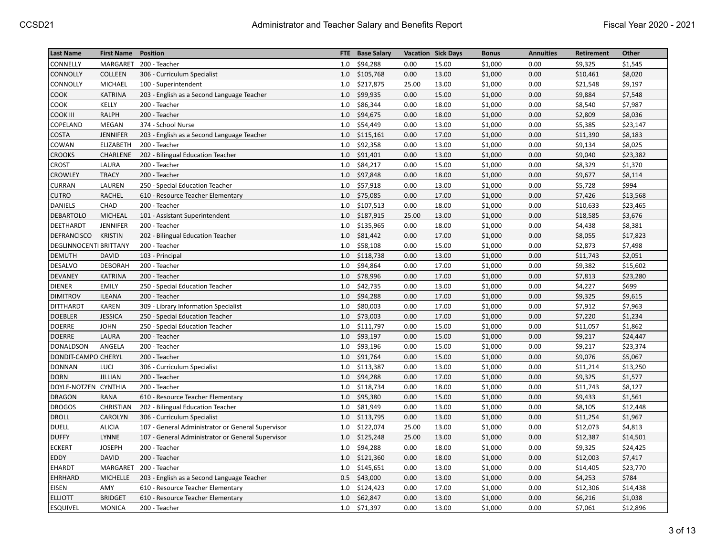| <b>Last Name</b>              | <b>First Name</b> | <b>Position</b>                                   | FTE. | <b>Base Salary</b> |       | <b>Vacation Sick Days</b> | <b>Bonus</b> | <b>Annuities</b> | Retirement | Other    |
|-------------------------------|-------------------|---------------------------------------------------|------|--------------------|-------|---------------------------|--------------|------------------|------------|----------|
| CONNELLY                      | MARGARET          | 200 - Teacher                                     | 1.0  | \$94,288           | 0.00  | 15.00                     | \$1,000      | 0.00             | \$9,325    | \$1,545  |
| CONNOLLY                      | COLLEEN           | 306 - Curriculum Specialist                       | 1.0  | \$105,768          | 0.00  | 13.00                     | \$1,000      | 0.00             | \$10,461   | \$8,020  |
| CONNOLLY                      | <b>MICHAEL</b>    | 100 - Superintendent                              | 1.0  | \$217,875          | 25.00 | 13.00                     | \$1,000      | 0.00             | \$21,548   | \$9,197  |
| COOK                          | <b>KATRINA</b>    | 203 - English as a Second Language Teacher        | 1.0  | \$99,935           | 0.00  | 15.00                     | \$1,000      | 0.00             | \$9,884    | \$7,548  |
| COOK                          | KELLY             | 200 - Teacher                                     | 1.0  | \$86,344           | 0.00  | 18.00                     | \$1,000      | 0.00             | \$8,540    | \$7,987  |
| COOK III                      | <b>RALPH</b>      | 200 - Teacher                                     | 1.0  | \$94,675           | 0.00  | 18.00                     | \$1,000      | 0.00             | \$2,809    | \$8,036  |
| COPELAND                      | <b>MEGAN</b>      | 374 - School Nurse                                | 1.0  | \$54,449           | 0.00  | 13.00                     | \$1,000      | 0.00             | \$5,385    | \$23,147 |
| <b>COSTA</b>                  | <b>JENNIFER</b>   | 203 - English as a Second Language Teacher        | 1.0  | \$115,161          | 0.00  | 17.00                     | \$1,000      | 0.00             | \$11,390   | \$8,183  |
| COWAN                         | ELIZABETH         | 200 - Teacher                                     | 1.0  | \$92,358           | 0.00  | 13.00                     | \$1,000      | 0.00             | \$9,134    | \$8,025  |
| <b>CROOKS</b>                 | CHARLENE          | 202 - Bilingual Education Teacher                 | 1.0  | \$91,401           | 0.00  | 13.00                     | \$1,000      | 0.00             | \$9,040    | \$23,382 |
| CROST                         | LAURA             | 200 - Teacher                                     | 1.0  | \$84,217           | 0.00  | 15.00                     | \$1,000      | 0.00             | \$8,329    | \$1,370  |
| <b>CROWLEY</b>                | <b>TRACY</b>      | 200 - Teacher                                     | 1.0  | \$97,848           | 0.00  | 18.00                     | \$1,000      | 0.00             | \$9,677    | \$8,114  |
| CURRAN                        | LAUREN            | 250 - Special Education Teacher                   | 1.0  | \$57,918           | 0.00  | 13.00                     | \$1,000      | 0.00             | \$5,728    | \$994    |
| <b>CUTRO</b>                  | <b>RACHEL</b>     | 610 - Resource Teacher Elementary                 | 1.0  | \$75,085           | 0.00  | 17.00                     | \$1,000      | 0.00             | \$7,426    | \$13,568 |
| <b>DANIELS</b>                | CHAD              | 200 - Teacher                                     | 1.0  | \$107,513          | 0.00  | 18.00                     | \$1,000      | 0.00             | \$10,633   | \$23,465 |
| <b>DEBARTOLO</b>              | <b>MICHEAL</b>    | 101 - Assistant Superintendent                    | 1.0  | \$187,915          | 25.00 | 13.00                     | \$1,000      | 0.00             | \$18,585   | \$3,676  |
| DEETHARDT                     | <b>JENNIFER</b>   | 200 - Teacher                                     | 1.0  | \$135,965          | 0.00  | 18.00                     | \$1,000      | 0.00             | \$4,438    | \$8,381  |
| DEFRANCISCO                   | <b>KRISTIN</b>    | 202 - Bilingual Education Teacher                 | 1.0  | \$81,442           | 0.00  | 17.00                     | \$1,000      | 0.00             | \$8,055    | \$17,823 |
| <b>DEGLINNOCENTI BRITTANY</b> |                   | 200 - Teacher                                     | 1.0  | \$58,108           | 0.00  | 15.00                     | \$1,000      | 0.00             | \$2,873    | \$7,498  |
| <b>DEMUTH</b>                 | <b>DAVID</b>      | 103 - Principal                                   | 1.0  | \$118,738          | 0.00  | 13.00                     | \$1,000      | 0.00             | \$11,743   | \$2,051  |
| DESALVO                       | <b>DEBORAH</b>    | 200 - Teacher                                     | 1.0  | \$94,864           | 0.00  | 17.00                     | \$1,000      | 0.00             | \$9,382    | \$15,602 |
| <b>DEVANEY</b>                | <b>KATRINA</b>    | 200 - Teacher                                     | 1.0  | \$78,996           | 0.00  | 17.00                     | \$1,000      | 0.00             | \$7,813    | \$23,280 |
| <b>DIENER</b>                 | <b>EMILY</b>      | 250 - Special Education Teacher                   | 1.0  | \$42,735           | 0.00  | 13.00                     | \$1,000      | 0.00             | \$4,227    | \$699    |
| <b>DIMITROV</b>               | <b>ILEANA</b>     | 200 - Teacher                                     | 1.0  | \$94,288           | 0.00  | 17.00                     | \$1,000      | 0.00             | \$9,325    | \$9,615  |
| <b>DITTHARDT</b>              | <b>KAREN</b>      | 309 - Library Information Specialist              | 1.0  | \$80,003           | 0.00  | 17.00                     | \$1,000      | 0.00             | \$7,912    | \$7,963  |
| <b>DOEBLER</b>                | <b>JESSICA</b>    | 250 - Special Education Teacher                   | 1.0  | \$73,003           | 0.00  | 17.00                     | \$1,000      | 0.00             | \$7,220    | \$1,234  |
| <b>DOERRE</b>                 | <b>JOHN</b>       | 250 - Special Education Teacher                   | 1.0  | \$111,797          | 0.00  | 15.00                     | \$1,000      | 0.00             | \$11,057   | \$1,862  |
| <b>DOERRE</b>                 | LAURA             | 200 - Teacher                                     | 1.0  | \$93,197           | 0.00  | 15.00                     | \$1,000      | 0.00             | \$9,217    | \$24,447 |
| DONALDSON                     | ANGELA            | 200 - Teacher                                     | 1.0  | \$93,196           | 0.00  | 15.00                     | \$1,000      | 0.00             | \$9,217    | \$23,374 |
| DONDIT-CAMPO CHERYL           |                   | 200 - Teacher                                     | 1.0  | \$91,764           | 0.00  | 15.00                     | \$1,000      | 0.00             | \$9,076    | \$5,067  |
| <b>DONNAN</b>                 | LUCI              | 306 - Curriculum Specialist                       | 1.0  | \$113,387          | 0.00  | 13.00                     | \$1,000      | 0.00             | \$11,214   | \$13,250 |
| <b>DORN</b>                   | JILLIAN           | 200 - Teacher                                     | 1.0  | \$94,288           | 0.00  | 17.00                     | \$1,000      | 0.00             | \$9,325    | \$1,577  |
| DOYLE-NOTZEN CYNTHIA          |                   | 200 - Teacher                                     | 1.0  | \$118,734          | 0.00  | 18.00                     | \$1,000      | 0.00             | \$11,743   | \$8,127  |
| <b>DRAGON</b>                 | <b>RANA</b>       | 610 - Resource Teacher Elementary                 | 1.0  | \$95,380           | 0.00  | 15.00                     | \$1,000      | 0.00             | \$9,433    | \$1,561  |
| <b>DROGOS</b>                 | <b>CHRISTIAN</b>  | 202 - Bilingual Education Teacher                 | 1.0  | \$81,949           | 0.00  | 13.00                     | \$1,000      | 0.00             | \$8,105    | \$12,448 |
| <b>DROLL</b>                  | CAROLYN           | 306 - Curriculum Specialist                       | 1.0  | \$113,795          | 0.00  | 13.00                     | \$1,000      | 0.00             | \$11,254   | \$1,967  |
| <b>DUELL</b>                  | <b>ALICIA</b>     | 107 - General Administrator or General Supervisor | 1.0  | \$122,074          | 25.00 | 13.00                     | \$1,000      | 0.00             | \$12,073   | \$4,813  |
| <b>DUFFY</b>                  | LYNNE             | 107 - General Administrator or General Supervisor | 1.0  | \$125,248          | 25.00 | 13.00                     | \$1,000      | 0.00             | \$12,387   | \$14,501 |
| ECKERT                        | <b>JOSEPH</b>     | 200 - Teacher                                     | 1.0  | \$94,288           | 0.00  | 18.00                     | \$1,000      | 0.00             | \$9,325    | \$24,425 |
| EDDY                          | <b>DAVID</b>      | 200 - Teacher                                     | 1.0  | \$121,360          | 0.00  | 18.00                     | \$1,000      | 0.00             | \$12,003   | \$7,417  |
| EHARDT                        | MARGARET          | 200 - Teacher                                     | 1.0  | \$145,651          | 0.00  | 13.00                     | \$1,000      | 0.00             | \$14,405   | \$23,770 |
| EHRHARD                       | <b>MICHELLE</b>   | 203 - English as a Second Language Teacher        | 0.5  | \$43,000           | 0.00  | 13.00                     | \$1,000      | 0.00             | \$4,253    | \$784    |
| <b>EISEN</b>                  | AMY               | 610 - Resource Teacher Elementary                 | 1.0  | \$124,423          | 0.00  | 17.00                     | \$1,000      | 0.00             | \$12,306   | \$14,438 |
| <b>ELLIOTT</b>                | <b>BRIDGET</b>    | 610 - Resource Teacher Elementary                 | 1.0  | \$62,847           | 0.00  | 13.00                     | \$1,000      | 0.00             | \$6,216    | \$1,038  |
| <b>ESQUIVEL</b>               | <b>MONICA</b>     | 200 - Teacher                                     | 1.0  | \$71,397           | 0.00  | 13.00                     | \$1,000      | 0.00             | \$7,061    | \$12,896 |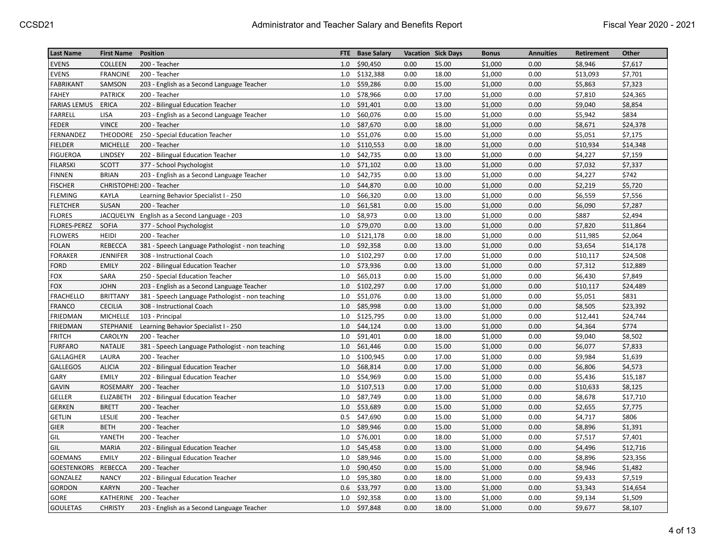| <b>Last Name</b>    | <b>First Name</b> | <b>Position</b>                                  | <b>FTE</b> | <b>Base Salary</b> |      | <b>Vacation Sick Days</b> | <b>Bonus</b> | <b>Annuities</b> | Retirement | Other    |
|---------------------|-------------------|--------------------------------------------------|------------|--------------------|------|---------------------------|--------------|------------------|------------|----------|
| <b>EVENS</b>        | <b>COLLEEN</b>    | 200 - Teacher                                    | 1.0        | \$90,450           | 0.00 | 15.00                     | \$1,000      | 0.00             | \$8,946    | \$7,617  |
| <b>EVENS</b>        | <b>FRANCINE</b>   | 200 - Teacher                                    | 1.0        | \$132,388          | 0.00 | 18.00                     | \$1,000      | 0.00             | \$13,093   | \$7,701  |
| <b>FABRIKANT</b>    | SAMSON            | 203 - English as a Second Language Teacher       | 1.0        | \$59,286           | 0.00 | 15.00                     | \$1,000      | 0.00             | \$5,863    | \$7,323  |
| <b>FAHEY</b>        | <b>PATRICK</b>    | 200 - Teacher                                    | 1.0        | \$78,966           | 0.00 | 17.00                     | \$1,000      | 0.00             | \$7,810    | \$24,365 |
| <b>FARIAS LEMUS</b> | ERICA             | 202 - Bilingual Education Teacher                | 1.0        | \$91,401           | 0.00 | 13.00                     | \$1,000      | 0.00             | \$9,040    | \$8,854  |
| <b>FARRELL</b>      | <b>LISA</b>       | 203 - English as a Second Language Teacher       | 1.0        | \$60,076           | 0.00 | 15.00                     | \$1,000      | 0.00             | \$5,942    | \$834    |
| <b>FEDER</b>        | <b>VINCE</b>      | 200 - Teacher                                    | 1.0        | \$87,670           | 0.00 | 18.00                     | \$1,000      | 0.00             | \$8,671    | \$24,378 |
| FERNANDEZ           | THEODORE          | 250 - Special Education Teacher                  | 1.0        | \$51,076           | 0.00 | 15.00                     | \$1,000      | 0.00             | \$5,051    | \$7,175  |
| <b>FIELDER</b>      | <b>MICHELLE</b>   | 200 - Teacher                                    | 1.0        | \$110,553          | 0.00 | 18.00                     | \$1,000      | 0.00             | \$10,934   | \$14,348 |
| <b>FIGUEROA</b>     | LINDSEY           | 202 - Bilingual Education Teacher                | 1.0        | \$42,735           | 0.00 | 13.00                     | \$1,000      | 0.00             | \$4,227    | \$7,159  |
| <b>FILARSKI</b>     | <b>SCOTT</b>      | 377 - School Psychologist                        | 1.0        | \$71,102           | 0.00 | 13.00                     | \$1,000      | 0.00             | \$7,032    | \$7,337  |
| <b>FINNEN</b>       | <b>BRIAN</b>      | 203 - English as a Second Language Teacher       | 1.0        | \$42,735           | 0.00 | 13.00                     | \$1,000      | 0.00             | \$4,227    | \$742    |
| <b>FISCHER</b>      |                   | CHRISTOPHEI 200 - Teacher                        | 1.0        | \$44,870           | 0.00 | 10.00                     | \$1,000      | 0.00             | \$2,219    | \$5,720  |
| <b>FLEMING</b>      | KAYLA             | Learning Behavior Specialist I - 250             | 1.0        | \$66,320           | 0.00 | 13.00                     | \$1,000      | 0.00             | \$6,559    | \$7,556  |
| <b>FLETCHER</b>     | SUSAN             | 200 - Teacher                                    | 1.0        | \$61,581           | 0.00 | 15.00                     | \$1,000      | 0.00             | \$6,090    | \$7,287  |
| <b>FLORES</b>       |                   | JACQUELYN English as a Second Language - 203     | 1.0        | \$8,973            | 0.00 | 13.00                     | \$1,000      | 0.00             | \$887      | \$2,494  |
| FLORES-PEREZ        | <b>SOFIA</b>      | 377 - School Psychologist                        | 1.0        | \$79,070           | 0.00 | 13.00                     | \$1,000      | 0.00             | \$7,820    | \$11,864 |
| <b>FLOWERS</b>      | <b>HEIDI</b>      | 200 - Teacher                                    | 1.0        | \$121,178          | 0.00 | 18.00                     | \$1,000      | 0.00             | \$11,985   | \$2,064  |
| <b>FOLAN</b>        | <b>REBECCA</b>    | 381 - Speech Language Pathologist - non teaching | 1.0        | \$92,358           | 0.00 | 13.00                     | \$1,000      | 0.00             | \$3,654    | \$14,178 |
| <b>FORAKER</b>      | <b>JENNIFER</b>   | 308 - Instructional Coach                        | 1.0        | \$102,297          | 0.00 | 17.00                     | \$1,000      | 0.00             | \$10,117   | \$24,508 |
| <b>FORD</b>         | <b>EMILY</b>      | 202 - Bilingual Education Teacher                | 1.0        | \$73,936           | 0.00 | 13.00                     | \$1,000      | 0.00             | \$7,312    | \$12,889 |
| <b>FOX</b>          | SARA              | 250 - Special Education Teacher                  | 1.0        | \$65,013           | 0.00 | 15.00                     | \$1,000      | 0.00             | \$6,430    | \$7,849  |
| <b>FOX</b>          | <b>JOHN</b>       | 203 - English as a Second Language Teacher       | 1.0        | \$102,297          | 0.00 | 17.00                     | \$1,000      | 0.00             | \$10,117   | \$24,489 |
| <b>FRACHELLO</b>    | <b>BRITTANY</b>   | 381 - Speech Language Pathologist - non teaching | 1.0        | \$51,076           | 0.00 | 13.00                     | \$1,000      | 0.00             | \$5,051    | \$831    |
| <b>FRANCO</b>       | <b>CECILIA</b>    | 308 - Instructional Coach                        | 1.0        | \$85,998           | 0.00 | 13.00                     | \$1,000      | 0.00             | \$8,505    | \$23,392 |
| FRIEDMAN            | MICHELLE          | 103 - Principal                                  | 1.0        | \$125,795          | 0.00 | 13.00                     | \$1,000      | 0.00             | \$12,441   | \$24,744 |
| <b>FRIEDMAN</b>     | <b>STEPHANIE</b>  | Learning Behavior Specialist I - 250             | 1.0        | \$44,124           | 0.00 | 13.00                     | \$1,000      | 0.00             | \$4,364    | \$774    |
| <b>FRITCH</b>       | CAROLYN           | 200 - Teacher                                    | 1.0        | \$91,401           | 0.00 | 18.00                     | \$1,000      | 0.00             | \$9,040    | \$8,502  |
| <b>FURFARO</b>      | <b>NATALIE</b>    | 381 - Speech Language Pathologist - non teaching | 1.0        | \$61,446           | 0.00 | 15.00                     | \$1,000      | 0.00             | \$6,077    | \$7,833  |
| GALLAGHER           | LAURA             | 200 - Teacher                                    | 1.0        | \$100,945          | 0.00 | 17.00                     | \$1,000      | 0.00             | \$9,984    | \$1,639  |
| <b>GALLEGOS</b>     | <b>ALICIA</b>     | 202 - Bilingual Education Teacher                | 1.0        | \$68,814           | 0.00 | 17.00                     | \$1,000      | 0.00             | \$6,806    | \$4,573  |
| GARY                | <b>EMILY</b>      | 202 - Bilingual Education Teacher                | 1.0        | \$54,969           | 0.00 | 15.00                     | \$1,000      | 0.00             | \$5,436    | \$15,187 |
| <b>GAVIN</b>        | ROSEMARY          | 200 - Teacher                                    | 1.0        | \$107,513          | 0.00 | 17.00                     | \$1,000      | 0.00             | \$10,633   | \$8,125  |
| <b>GELLER</b>       | ELIZABETH         | 202 - Bilingual Education Teacher                | 1.0        | \$87,749           | 0.00 | 13.00                     | \$1,000      | 0.00             | \$8,678    | \$17,710 |
| <b>GERKEN</b>       | <b>BRETT</b>      | 200 - Teacher                                    | 1.0        | \$53,689           | 0.00 | 15.00                     | \$1,000      | 0.00             | \$2,655    | \$7,775  |
| <b>GETLIN</b>       | LESLIE            | 200 - Teacher                                    | 0.5        | \$47,690           | 0.00 | 15.00                     | \$1,000      | 0.00             | \$4,717    | \$806    |
| <b>GIER</b>         | <b>BETH</b>       | 200 - Teacher                                    | 1.0        | \$89,946           | 0.00 | 15.00                     | \$1,000      | 0.00             | \$8,896    | \$1,391  |
| GIL                 | YANETH            | 200 - Teacher                                    | 1.0        | \$76,001           | 0.00 | 18.00                     | \$1,000      | 0.00             | \$7,517    | \$7,401  |
| GIL                 | <b>MARIA</b>      | 202 - Bilingual Education Teacher                | 1.0        | \$45,458           | 0.00 | 13.00                     | \$1,000      | 0.00             | \$4,496    | \$12,716 |
| <b>GOEMANS</b>      | <b>EMILY</b>      | 202 - Bilingual Education Teacher                | 1.0        | \$89,946           | 0.00 | 15.00                     | \$1,000      | 0.00             | \$8,896    | \$23,356 |
| <b>GOESTENKORS</b>  | REBECCA           | 200 - Teacher                                    | 1.0        | \$90,450           | 0.00 | 15.00                     | \$1,000      | 0.00             | \$8,946    | \$1,482  |
| GONZALEZ            | <b>NANCY</b>      | 202 - Bilingual Education Teacher                | 1.0        | \$95,380           | 0.00 | 18.00                     | \$1,000      | 0.00             | \$9,433    | \$7,519  |
| <b>GORDON</b>       | <b>KARYN</b>      | 200 - Teacher                                    | 0.6        | \$33,797           | 0.00 | 13.00                     | \$1,000      | 0.00             | \$3,343    | \$14,654 |
| GORE                | KATHERINE         | 200 - Teacher                                    | 1.0        | \$92,358           | 0.00 | 13.00                     | \$1,000      | 0.00             | \$9,134    | \$1,509  |
| <b>GOULETAS</b>     | <b>CHRISTY</b>    | 203 - English as a Second Language Teacher       | 1.0        | \$97,848           | 0.00 | 18.00                     | \$1,000      | 0.00             | \$9,677    | \$8,107  |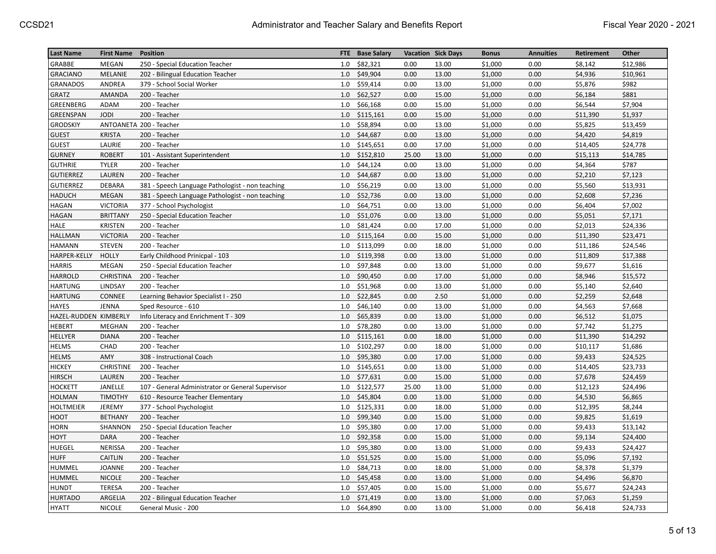| <b>Last Name</b>      | <b>First Name</b> | <b>Position</b>                                   | FTE. | <b>Base Salary</b> |       | <b>Vacation Sick Days</b> | <b>Bonus</b> | <b>Annuities</b> | Retirement | Other    |
|-----------------------|-------------------|---------------------------------------------------|------|--------------------|-------|---------------------------|--------------|------------------|------------|----------|
| GRABBE                | <b>MEGAN</b>      | 250 - Special Education Teacher                   | 1.0  | \$82,321           | 0.00  | 13.00                     | \$1,000      | 0.00             | \$8,142    | \$12,986 |
| <b>GRACIANO</b>       | MELANIE           | 202 - Bilingual Education Teacher                 | 1.0  | \$49,904           | 0.00  | 13.00                     | \$1,000      | 0.00             | \$4,936    | \$10,961 |
| <b>GRANADOS</b>       | ANDREA            | 379 - School Social Worker                        | 1.0  | \$59,414           | 0.00  | 13.00                     | \$1,000      | 0.00             | \$5,876    | \$982    |
| <b>GRATZ</b>          | AMANDA            | 200 - Teacher                                     | 1.0  | \$62,527           | 0.00  | 15.00                     | \$1,000      | 0.00             | \$6,184    | \$881    |
| GREENBERG             | ADAM              | 200 - Teacher                                     | 1.0  | \$66,168           | 0.00  | 15.00                     | \$1,000      | 0.00             | \$6,544    | \$7,904  |
| GREENSPAN             | <b>JODI</b>       | 200 - Teacher                                     | 1.0  | \$115,161          | 0.00  | 15.00                     | \$1,000      | 0.00             | \$11,390   | \$1,937  |
| <b>GRODSKIY</b>       |                   | ANTOANETA 200 - Teacher                           | 1.0  | \$58,894           | 0.00  | 13.00                     | \$1,000      | 0.00             | \$5,825    | \$13,459 |
| <b>GUEST</b>          | <b>KRISTA</b>     | 200 - Teacher                                     | 1.0  | \$44,687           | 0.00  | 13.00                     | \$1,000      | 0.00             | \$4,420    | \$4,819  |
| <b>GUEST</b>          | LAURIE            | 200 - Teacher                                     | 1.0  | \$145,651          | 0.00  | 17.00                     | \$1,000      | 0.00             | \$14,405   | \$24,778 |
| <b>GURNEY</b>         | <b>ROBERT</b>     | 101 - Assistant Superintendent                    | 1.0  | \$152,810          | 25.00 | 13.00                     | \$1,000      | 0.00             | \$15,113   | \$14,785 |
| <b>GUTHRIE</b>        | <b>TYLER</b>      | 200 - Teacher                                     | 1.0  | \$44,124           | 0.00  | 13.00                     | \$1,000      | 0.00             | \$4,364    | \$787    |
| <b>GUTIERREZ</b>      | LAUREN            | 200 - Teacher                                     | 1.0  | \$44,687           | 0.00  | 13.00                     | \$1,000      | 0.00             | \$2,210    | \$7,123  |
| <b>GUTIERREZ</b>      | <b>DEBARA</b>     | 381 - Speech Language Pathologist - non teaching  | 1.0  | \$56,219           | 0.00  | 13.00                     | \$1,000      | 0.00             | \$5,560    | \$13,931 |
| <b>HADUCH</b>         | MEGAN             | 381 - Speech Language Pathologist - non teaching  | 1.0  | \$52,736           | 0.00  | 13.00                     | \$1,000      | 0.00             | \$2,608    | \$7,236  |
| <b>HAGAN</b>          | <b>VICTORIA</b>   | 377 - School Psychologist                         | 1.0  | \$64,751           | 0.00  | 13.00                     | \$1,000      | 0.00             | \$6,404    | \$7,002  |
| <b>HAGAN</b>          | <b>BRITTANY</b>   | 250 - Special Education Teacher                   | 1.0  | \$51,076           | 0.00  | 13.00                     | \$1,000      | 0.00             | \$5,051    | \$7,171  |
| <b>HALE</b>           | <b>KRISTEN</b>    | 200 - Teacher                                     | 1.0  | \$81,424           | 0.00  | 17.00                     | \$1,000      | 0.00             | \$2,013    | \$24,336 |
| <b>HALLMAN</b>        | <b>VICTORIA</b>   | 200 - Teacher                                     | 1.0  | \$115,164          | 0.00  | 15.00                     | \$1,000      | 0.00             | \$11,390   | \$23,471 |
| <b>HAMANN</b>         | <b>STEVEN</b>     | 200 - Teacher                                     | 1.0  | \$113,099          | 0.00  | 18.00                     | \$1,000      | 0.00             | \$11,186   | \$24,546 |
| HARPER-KELLY          | <b>HOLLY</b>      | Early Childhood Prinicpal - 103                   | 1.0  | \$119,398          | 0.00  | 13.00                     | \$1,000      | 0.00             | \$11,809   | \$17,388 |
| <b>HARRIS</b>         | <b>MEGAN</b>      | 250 - Special Education Teacher                   | 1.0  | \$97,848           | 0.00  | 13.00                     | \$1,000      | 0.00             | \$9,677    | \$1,616  |
| <b>HARROLD</b>        | <b>CHRISTINA</b>  | 200 - Teacher                                     | 1.0  | \$90,450           | 0.00  | 17.00                     | \$1,000      | 0.00             | \$8,946    | \$15,572 |
| <b>HARTUNG</b>        | LINDSAY           | 200 - Teacher                                     | 1.0  | \$51,968           | 0.00  | 13.00                     | \$1,000      | 0.00             | \$5,140    | \$2,640  |
| <b>HARTUNG</b>        | CONNEE            | Learning Behavior Specialist I - 250              | 1.0  | \$22,845           | 0.00  | 2.50                      | \$1,000      | 0.00             | \$2,259    | \$2,648  |
| <b>HAYES</b>          | <b>JENNA</b>      | Sped Resource - 610                               | 1.0  | \$46,140           | 0.00  | 13.00                     | \$1,000      | 0.00             | \$4,563    | \$7,668  |
| HAZEL-RUDDEN KIMBERLY |                   | Info Literacy and Enrichment T - 309              | 1.0  | \$65,839           | 0.00  | 13.00                     | \$1,000      | 0.00             | \$6,512    | \$1,075  |
| <b>HEBERT</b>         | <b>MEGHAN</b>     | 200 - Teacher                                     | 1.0  | \$78,280           | 0.00  | 13.00                     | \$1,000      | 0.00             | \$7,742    | \$1,275  |
| HELLYER               | <b>DIANA</b>      | 200 - Teacher                                     | 1.0  | \$115,161          | 0.00  | 18.00                     | \$1,000      | 0.00             | \$11,390   | \$14,292 |
| <b>HELMS</b>          | CHAD              | 200 - Teacher                                     | 1.0  | \$102,297          | 0.00  | 18.00                     | \$1,000      | 0.00             | \$10,117   | \$1,686  |
| <b>HELMS</b>          | AMY               | 308 - Instructional Coach                         | 1.0  | \$95,380           | 0.00  | 17.00                     | \$1,000      | 0.00             | \$9,433    | \$24,525 |
| <b>HICKEY</b>         | <b>CHRISTINE</b>  | 200 - Teacher                                     | 1.0  | \$145,651          | 0.00  | 13.00                     | \$1,000      | 0.00             | \$14,405   | \$23,733 |
| <b>HIRSCH</b>         | LAUREN            | 200 - Teacher                                     | 1.0  | \$77,631           | 0.00  | 15.00                     | \$1,000      | 0.00             | \$7,678    | \$24,459 |
|                       | JANELLE           |                                                   | 1.0  |                    |       |                           |              |                  |            |          |
| <b>HOCKETT</b>        |                   | 107 - General Administrator or General Supervisor |      | \$122,577          | 25.00 | 13.00                     | \$1,000      | 0.00             | \$12,123   | \$24,496 |
| <b>HOLMAN</b>         | TIMOTHY           | 610 - Resource Teacher Elementary                 | 1.0  | \$45,804           | 0.00  | 13.00                     | \$1,000      | 0.00             | \$4,530    | \$6,865  |
| <b>HOLTMEIER</b>      | JEREMY            | 377 - School Psychologist                         | 1.0  | \$125,331          | 0.00  | 18.00                     | \$1,000      | 0.00             | \$12,395   | \$8,244  |
| HOOT                  | <b>BETHANY</b>    | 200 - Teacher                                     | 1.0  | \$99,340           | 0.00  | 15.00                     | \$1,000      | 0.00             | \$9,825    | \$1,619  |
| <b>HORN</b>           | SHANNON           | 250 - Special Education Teacher                   | 1.0  | \$95,380           | 0.00  | 17.00                     | \$1,000      | 0.00             | \$9,433    | \$13,142 |
| HOYT                  | <b>DARA</b>       | 200 - Teacher                                     | 1.0  | \$92,358           | 0.00  | 15.00                     | \$1,000      | 0.00             | \$9,134    | \$24,400 |
| <b>HUEGEL</b>         | <b>NERISSA</b>    | 200 - Teacher                                     | 1.0  | \$95,380           | 0.00  | 13.00                     | \$1,000      | 0.00             | \$9,433    | \$24,427 |
| <b>HUFF</b>           | <b>CAITLIN</b>    | 200 - Teacher                                     | 1.0  | \$51,525           | 0.00  | 15.00                     | \$1,000      | 0.00             | \$5,096    | \$7,192  |
| <b>HUMMEL</b>         | <b>JOANNE</b>     | 200 - Teacher                                     | 1.0  | \$84,713           | 0.00  | 18.00                     | \$1,000      | 0.00             | \$8,378    | \$1,379  |
| HUMMEL                | <b>NICOLE</b>     | 200 - Teacher                                     | 1.0  | \$45,458           | 0.00  | 13.00                     | \$1,000      | 0.00             | \$4,496    | \$6,870  |
| <b>HUNDT</b>          | <b>TERESA</b>     | 200 - Teacher                                     | 1.0  | \$57,405           | 0.00  | 15.00                     | \$1,000      | 0.00             | \$5,677    | \$24,243 |
| <b>HURTADO</b>        | ARGELIA           | 202 - Bilingual Education Teacher                 | 1.0  | \$71,419           | 0.00  | 13.00                     | \$1,000      | 0.00             | \$7,063    | \$1,259  |
| <b>HYATT</b>          | <b>NICOLE</b>     | General Music - 200                               | 1.0  | \$64,890           | 0.00  | 13.00                     | \$1,000      | 0.00             | \$6,418    | \$24,733 |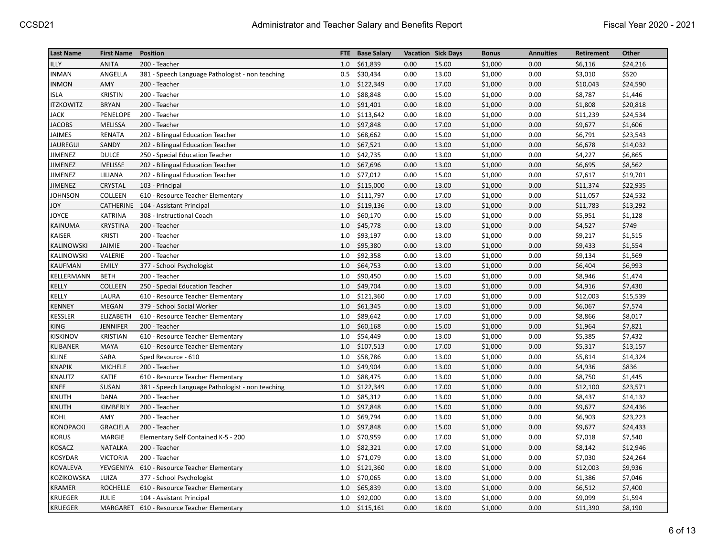| <b>Last Name</b> | <b>First Name</b> | <b>Position</b>                                  | <b>FTE</b> | <b>Base Salary</b> |      | <b>Vacation Sick Days</b> | <b>Bonus</b> | <b>Annuities</b> | Retirement | Other    |
|------------------|-------------------|--------------------------------------------------|------------|--------------------|------|---------------------------|--------------|------------------|------------|----------|
| <b>ILLY</b>      | <b>ANITA</b>      | 200 - Teacher                                    | 1.0        | \$61,839           | 0.00 | 15.00                     | \$1,000      | 0.00             | \$6,116    | \$24,216 |
| <b>INMAN</b>     | ANGELLA           | 381 - Speech Language Pathologist - non teaching | 0.5        | \$30,434           | 0.00 | 13.00                     | \$1,000      | 0.00             | \$3,010    | \$520    |
| <b>INMON</b>     | AMY               | 200 - Teacher                                    | 1.0        | \$122,349          | 0.00 | 17.00                     | \$1,000      | 0.00             | \$10,043   | \$24,590 |
| ISLA             | <b>KRISTIN</b>    | 200 - Teacher                                    | 1.0        | \$88,848           | 0.00 | 15.00                     | \$1,000      | 0.00             | \$8,787    | \$1,446  |
| <b>ITZKOWITZ</b> | <b>BRYAN</b>      | 200 - Teacher                                    | 1.0        | \$91,401           | 0.00 | 18.00                     | \$1,000      | 0.00             | \$1,808    | \$20,818 |
| JACK             | PENELOPE          | 200 - Teacher                                    | 1.0        | \$113,642          | 0.00 | 18.00                     | \$1,000      | 0.00             | \$11,239   | \$24,534 |
| <b>JACOBS</b>    | <b>MELISSA</b>    | 200 - Teacher                                    | 1.0        | \$97,848           | 0.00 | 17.00                     | \$1,000      | 0.00             | \$9,677    | \$1,606  |
| <b>JAIMES</b>    | RENATA            | 202 - Bilingual Education Teacher                | 1.0        | \$68,662           | 0.00 | 15.00                     | \$1,000      | 0.00             | \$6,791    | \$23,543 |
| JAUREGUI         | SANDY             | 202 - Bilingual Education Teacher                | 1.0        | \$67,521           | 0.00 | 13.00                     | \$1,000      | 0.00             | \$6,678    | \$14,032 |
| <b>JIMENEZ</b>   | <b>DULCE</b>      | 250 - Special Education Teacher                  | 1.0        | \$42,735           | 0.00 | 13.00                     | \$1,000      | 0.00             | \$4,227    | \$6,865  |
| <b>JIMENEZ</b>   | <b>IVELISSE</b>   | 202 - Bilingual Education Teacher                | 1.0        | \$67,696           | 0.00 | 13.00                     | \$1,000      | 0.00             | \$6,695    | \$8,562  |
| <b>JIMENEZ</b>   | LILIANA           | 202 - Bilingual Education Teacher                | 1.0        | \$77,012           | 0.00 | 15.00                     | \$1,000      | 0.00             | \$7,617    | \$19,701 |
| <b>JIMENEZ</b>   | CRYSTAL           | 103 - Principal                                  | 1.0        | \$115,000          | 0.00 | 13.00                     | \$1,000      | 0.00             | \$11,374   | \$22,935 |
| <b>JOHNSON</b>   | COLLEEN           | 610 - Resource Teacher Elementary                | 1.0        | \$111,797          | 0.00 | 17.00                     | \$1,000      | 0.00             | \$11,057   | \$24,532 |
| YOL              | CATHERINE         | 104 - Assistant Principal                        | 1.0        | \$119,136          | 0.00 | 13.00                     | \$1,000      | 0.00             | \$11,783   | \$13,292 |
| JOYCE            | <b>KATRINA</b>    | 308 - Instructional Coach                        | 1.0        | \$60,170           | 0.00 | 15.00                     | \$1,000      | 0.00             | \$5,951    | \$1,128  |
| KAINUMA          | <b>KRYSTINA</b>   | 200 - Teacher                                    | 1.0        | \$45,778           | 0.00 | 13.00                     | \$1,000      | 0.00             | \$4,527    | \$749    |
| <b>KAISER</b>    | <b>KRISTI</b>     | 200 - Teacher                                    | 1.0        | \$93,197           | 0.00 | 13.00                     | \$1,000      | 0.00             | \$9,217    | \$1,515  |
| KALINOWSKI       | JAIMIE            | 200 - Teacher                                    | 1.0        | \$95,380           | 0.00 | 13.00                     | \$1,000      | 0.00             | \$9,433    | \$1,554  |
| KALINOWSKI       | VALERIE           | 200 - Teacher                                    | 1.0        | \$92,358           | 0.00 | 13.00                     | \$1,000      | 0.00             | \$9,134    | \$1,569  |
| <b>KAUFMAN</b>   | <b>EMILY</b>      | 377 - School Psychologist                        | 1.0        | \$64,753           | 0.00 | 13.00                     | \$1,000      | 0.00             | \$6,404    | \$6,993  |
| KELLERMANN       | <b>BETH</b>       | 200 - Teacher                                    | 1.0        | \$90,450           | 0.00 | 15.00                     | \$1,000      | 0.00             | \$8,946    | \$1,474  |
| KELLY            | <b>COLLEEN</b>    | 250 - Special Education Teacher                  | 1.0        | \$49,704           | 0.00 | 13.00                     | \$1,000      | 0.00             | \$4,916    | \$7,430  |
| KELLY            | LAURA             | 610 - Resource Teacher Elementary                | 1.0        | \$121,360          | 0.00 | 17.00                     | \$1,000      | 0.00             | \$12,003   | \$15,539 |
| <b>KENNEY</b>    | <b>MEGAN</b>      | 379 - School Social Worker                       | 1.0        | \$61,345           | 0.00 | 13.00                     | \$1,000      | 0.00             | \$6,067    | \$7,574  |
| KESSLER          | ELIZABETH         | 610 - Resource Teacher Elementary                | 1.0        | \$89,642           | 0.00 | 17.00                     | \$1,000      | 0.00             | \$8,866    | \$8,017  |
| <b>KING</b>      | <b>JENNIFER</b>   | 200 - Teacher                                    | 1.0        | \$60,168           | 0.00 | 15.00                     | \$1,000      | 0.00             | \$1,964    | \$7,821  |
| <b>KISKINOV</b>  | <b>KRISTIAN</b>   | 610 - Resource Teacher Elementary                | 1.0        | \$54,449           | 0.00 | 13.00                     | \$1,000      | 0.00             | \$5,385    | \$7,432  |
| KLIBANER         | MAYA              | 610 - Resource Teacher Elementary                | 1.0        | \$107,513          | 0.00 | 17.00                     | \$1,000      | 0.00             | \$5,317    | \$13,157 |
| <b>KLINE</b>     | SARA              | Sped Resource - 610                              | 1.0        | \$58,786           | 0.00 | 13.00                     | \$1,000      | 0.00             | \$5,814    | \$14,324 |
| <b>KNAPIK</b>    | <b>MICHELE</b>    | 200 - Teacher                                    | 1.0        | \$49,904           | 0.00 | 13.00                     | \$1,000      | 0.00             | \$4,936    | \$836    |
| KNAUTZ           | KATIE             | 610 - Resource Teacher Elementary                | 1.0        | \$88,475           | 0.00 | 13.00                     | \$1,000      | 0.00             | \$8,750    | \$1,445  |
| KNEE             | SUSAN             | 381 - Speech Language Pathologist - non teaching | 1.0        | \$122,349          | 0.00 | 17.00                     | \$1,000      | 0.00             | \$12,100   | \$23,571 |
| KNUTH            | <b>DANA</b>       | 200 - Teacher                                    | 1.0        | \$85,312           | 0.00 | 13.00                     | \$1,000      | 0.00             | \$8,437    | \$14,132 |
| KNUTH            | KIMBERLY          | 200 - Teacher                                    | 1.0        | \$97,848           | 0.00 | 15.00                     | \$1,000      | 0.00             | \$9,677    | \$24,436 |
| KOHL             | AMY               | 200 - Teacher                                    | 1.0        | \$69,794           | 0.00 | 13.00                     | \$1,000      | 0.00             | \$6,903    | \$23,223 |
| KONOPACKI        | <b>GRACIELA</b>   | 200 - Teacher                                    | 1.0        | \$97,848           | 0.00 | 15.00                     | \$1,000      | 0.00             | \$9,677    | \$24,433 |
| KORUS            | <b>MARGIE</b>     | Elementary Self Contained K-5 - 200              | 1.0        | \$70,959           | 0.00 | 17.00                     | \$1,000      | 0.00             | \$7,018    | \$7,540  |
| KOSACZ           | <b>NATALKA</b>    | 200 - Teacher                                    | 1.0        | \$82,321           | 0.00 | 17.00                     | \$1,000      | 0.00             | \$8,142    | \$12,946 |
| KOSYDAR          | <b>VICTORIA</b>   | 200 - Teacher                                    | 1.0        | \$71,079           | 0.00 | 13.00                     | \$1,000      | 0.00             | \$7,030    | \$24,264 |
| KOVALEVA         | YEVGENIYA         | 610 - Resource Teacher Elementary                | 1.0        | \$121,360          | 0.00 | 18.00                     | \$1,000      | 0.00             | \$12,003   | \$9,936  |
| KOZIKOWSKA       | LUIZA             | 377 - School Psychologist                        | 1.0        | \$70,065           | 0.00 | 13.00                     | \$1,000      | 0.00             | \$1,386    | \$7,046  |
| <b>KRAMER</b>    | <b>ROCHELLE</b>   | 610 - Resource Teacher Elementary                | 1.0        | \$65,839           | 0.00 | 13.00                     | \$1,000      | 0.00             | \$6,512    | \$7,400  |
| <b>KRUEGER</b>   | <b>JULIE</b>      | 104 - Assistant Principal                        | 1.0        | \$92,000           | 0.00 | 13.00                     | \$1,000      | 0.00             | \$9,099    | \$1,594  |
| <b>KRUEGER</b>   |                   | MARGARET 610 - Resource Teacher Elementary       | 1.0        | \$115,161          | 0.00 | 18.00                     | \$1,000      | 0.00             | \$11,390   | \$8,190  |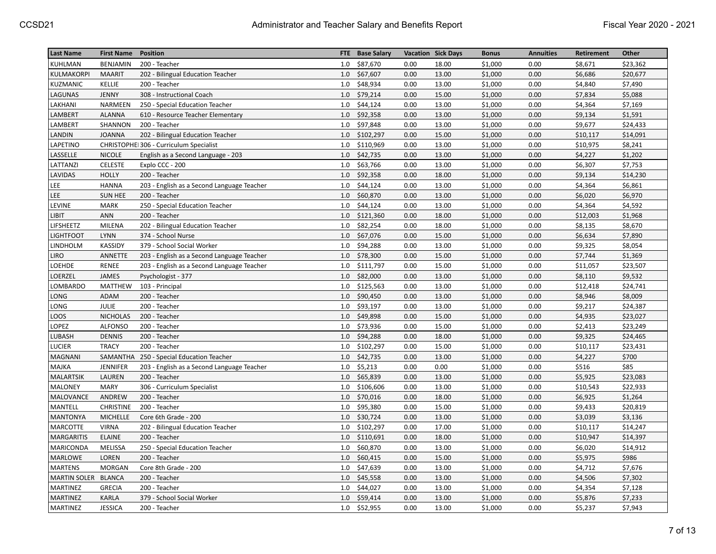| <b>Last Name</b>    | <b>First Name</b> | <b>Position</b>                            |     | FTE Base Salary | <b>Vacation Sick Days</b> |       | <b>Bonus</b> | <b>Annuities</b> | <b>Retirement</b> | Other    |
|---------------------|-------------------|--------------------------------------------|-----|-----------------|---------------------------|-------|--------------|------------------|-------------------|----------|
| KUHLMAN             | <b>BENJAMIN</b>   | 200 - Teacher                              | 1.0 | \$87,670        | 0.00                      | 18.00 | \$1,000      | 0.00             | \$8,671           | \$23,362 |
| KULMAKORPI          | <b>MAARIT</b>     | 202 - Bilingual Education Teacher          | 1.0 | \$67,607        | 0.00                      | 13.00 | \$1,000      | 0.00             | \$6,686           | \$20,677 |
| KUZMANIC            | KELLIE            | 200 - Teacher                              | 1.0 | \$48,934        | 0.00                      | 13.00 | \$1,000      | 0.00             | \$4,840           | \$7,490  |
| LAGUNAS             | JENNY             | 308 - Instructional Coach                  | 1.0 | \$79,214        | 0.00                      | 15.00 | \$1,000      | 0.00             | \$7,834           | \$5,088  |
| LAKHANI             | NARMEEN           | 250 - Special Education Teacher            | 1.0 | \$44,124        | 0.00                      | 13.00 | \$1,000      | 0.00             | \$4,364           | \$7,169  |
| LAMBERT             | <b>ALANNA</b>     | 610 - Resource Teacher Elementary          | 1.0 | \$92,358        | 0.00                      | 13.00 | \$1,000      | 0.00             | \$9,134           | \$1,591  |
| LAMBERT             | SHANNON           | 200 - Teacher                              | 1.0 | \$97,848        | 0.00                      | 13.00 | \$1,000      | 0.00             | \$9,677           | \$24,433 |
| LANDIN              | <b>JOANNA</b>     | 202 - Bilingual Education Teacher          | 1.0 | \$102,297       | 0.00                      | 15.00 | \$1,000      | 0.00             | \$10,117          | \$14,091 |
| LAPETINO            |                   | CHRISTOPHEI 306 - Curriculum Specialist    | 1.0 | \$110,969       | 0.00                      | 13.00 | \$1,000      | 0.00             | \$10,975          | \$8,241  |
| LASSELLE            | <b>NICOLE</b>     | English as a Second Language - 203         | 1.0 | \$42,735        | 0.00                      | 13.00 | \$1,000      | 0.00             | \$4,227           | \$1,202  |
| LATTANZI            | <b>CELESTE</b>    | Explo CCC - 200                            | 1.0 | \$63,766        | 0.00                      | 13.00 | \$1,000      | 0.00             | \$6,307           | \$7,753  |
| LAVIDAS             | <b>HOLLY</b>      | 200 - Teacher                              | 1.0 | \$92,358        | 0.00                      | 18.00 | \$1,000      | 0.00             | \$9,134           | \$14,230 |
| LEE                 | <b>HANNA</b>      | 203 - English as a Second Language Teacher | 1.0 | \$44,124        | 0.00                      | 13.00 | \$1,000      | 0.00             | \$4,364           | \$6,861  |
| <b>LEE</b>          | <b>SUN HEE</b>    | 200 - Teacher                              | 1.0 | \$60,870        | 0.00                      | 13.00 | \$1,000      | 0.00             | \$6,020           | \$6,970  |
| LEVINE              | <b>MARK</b>       | 250 - Special Education Teacher            | 1.0 | \$44,124        | 0.00                      | 13.00 | \$1,000      | 0.00             | \$4,364           | \$4,592  |
| LIBIT               | ANN               | 200 - Teacher                              | 1.0 | \$121,360       | 0.00                      | 18.00 | \$1,000      | 0.00             | \$12,003          | \$1,968  |
| LIFSHEETZ           | MILENA            | 202 - Bilingual Education Teacher          | 1.0 | \$82,254        | 0.00                      | 18.00 | \$1,000      | 0.00             | \$8,135           | \$8,670  |
| <b>LIGHTFOOT</b>    | <b>LYNN</b>       | 374 - School Nurse                         | 1.0 | \$67,076        | 0.00                      | 15.00 | \$1,000      | 0.00             | \$6,634           | \$7,890  |
| LINDHOLM            | KASSIDY           | 379 - School Social Worker                 | 1.0 | \$94,288        | 0.00                      | 13.00 | \$1,000      | 0.00             | \$9,325           | \$8,054  |
| LIRO                | ANNETTE           | 203 - English as a Second Language Teacher | 1.0 | \$78,300        | 0.00                      | 15.00 | \$1,000      | 0.00             | \$7,744           | \$1,369  |
| LOEHDE              | <b>RENEE</b>      | 203 - English as a Second Language Teacher | 1.0 | \$111,797       | 0.00                      | 15.00 | \$1,000      | 0.00             | \$11,057          | \$23,507 |
| LOERZEL             | <b>JAMES</b>      | Psychologist - 377                         | 1.0 | \$82,000        | 0.00                      | 13.00 | \$1,000      | 0.00             | \$8,110           | \$9,532  |
| LOMBARDO            | MATTHEW           | 103 - Principal                            | 1.0 | \$125,563       | 0.00                      | 13.00 | \$1,000      | 0.00             | \$12,418          | \$24,741 |
| LONG                | ADAM              | 200 - Teacher                              | 1.0 | \$90,450        | 0.00                      | 13.00 | \$1,000      | 0.00             | \$8,946           | \$8,009  |
| LONG                | JULIE             | 200 - Teacher                              | 1.0 | \$93,197        | 0.00                      | 13.00 | \$1,000      | 0.00             | \$9,217           | \$24,387 |
| LOOS                | <b>NICHOLAS</b>   | 200 - Teacher                              | 1.0 | \$49,898        | 0.00                      | 15.00 | \$1,000      | 0.00             | \$4,935           | \$23,027 |
| LOPEZ               | <b>ALFONSO</b>    | 200 - Teacher                              | 1.0 | \$73,936        | 0.00                      | 15.00 | \$1,000      | 0.00             | \$2,413           | \$23,249 |
| LUBASH              | <b>DENNIS</b>     | 200 - Teacher                              | 1.0 | \$94,288        | 0.00                      | 18.00 | \$1,000      | 0.00             | \$9,325           | \$24,465 |
| LUCIER              | <b>TRACY</b>      | 200 - Teacher                              | 1.0 | \$102,297       | 0.00                      | 15.00 | \$1,000      | 0.00             | \$10,117          | \$23,431 |
| <b>MAGNANI</b>      |                   | SAMANTHA 250 - Special Education Teacher   | 1.0 | \$42,735        | 0.00                      | 13.00 | \$1,000      | 0.00             | \$4,227           | \$700    |
| MAJKA               | <b>JENNIFER</b>   | 203 - English as a Second Language Teacher | 1.0 | \$5,213         | 0.00                      | 0.00  | \$1,000      | 0.00             | \$516             | \$85     |
| <b>MALARTSIK</b>    | LAUREN            | 200 - Teacher                              | 1.0 | \$65,839        | 0.00                      | 13.00 | \$1,000      | 0.00             | \$5,925           | \$23,083 |
| <b>MALONEY</b>      | <b>MARY</b>       | 306 - Curriculum Specialist                | 1.0 | \$106,606       | 0.00                      | 13.00 | \$1,000      | 0.00             | \$10,543          | \$22,933 |
| MALOVANCE           | ANDREW            | 200 - Teacher                              | 1.0 | \$70,016        | 0.00                      | 18.00 | \$1,000      | 0.00             | \$6,925           | \$1,264  |
| MANTELL             | <b>CHRISTINE</b>  | 200 - Teacher                              | 1.0 | \$95,380        | 0.00                      | 15.00 | \$1,000      | 0.00             | \$9,433           | \$20,819 |
| <b>MANTONYA</b>     | <b>MICHELLE</b>   | Core 6th Grade - 200                       | 1.0 | \$30,724        | 0.00                      | 13.00 | \$1,000      | 0.00             | \$3,039           | \$3,136  |
| <b>MARCOTTE</b>     | <b>VIRNA</b>      | 202 - Bilingual Education Teacher          | 1.0 | \$102,297       | 0.00                      | 17.00 | \$1,000      | 0.00             | \$10,117          | \$14,247 |
| <b>MARGARITIS</b>   | <b>ELAINE</b>     | 200 - Teacher                              | 1.0 | \$110,691       | 0.00                      | 18.00 | \$1,000      | 0.00             | \$10,947          | \$14,397 |
| <b>MARICONDA</b>    | MELISSA           | 250 - Special Education Teacher            | 1.0 | \$60,870        | 0.00                      | 13.00 | \$1,000      | 0.00             | \$6,020           | \$14,912 |
| <b>MARLOWE</b>      | LOREN             | 200 - Teacher                              | 1.0 | \$60,415        | 0.00                      | 15.00 | \$1,000      | 0.00             | \$5,975           | \$986    |
| <b>MARTENS</b>      | <b>MORGAN</b>     | Core 8th Grade - 200                       | 1.0 | \$47,639        | 0.00                      | 13.00 | \$1,000      | 0.00             | \$4,712           | \$7,676  |
| MARTIN SOLER BLANCA |                   | 200 - Teacher                              | 1.0 | \$45,558        | 0.00                      | 13.00 | \$1,000      | 0.00             | \$4,506           | \$7,302  |
| <b>MARTINEZ</b>     | <b>GRECIA</b>     | 200 - Teacher                              | 1.0 | \$44,027        | 0.00                      | 13.00 | \$1,000      | 0.00             | \$4,354           | \$7,128  |
| <b>MARTINEZ</b>     | KARLA             | 379 - School Social Worker                 | 1.0 | \$59,414        | 0.00                      | 13.00 | \$1,000      | 0.00             | \$5,876           | \$7,233  |
| <b>MARTINEZ</b>     | <b>JESSICA</b>    | 200 - Teacher                              | 1.0 | \$52,955        | 0.00                      | 13.00 | \$1,000      | 0.00             | \$5,237           | \$7,943  |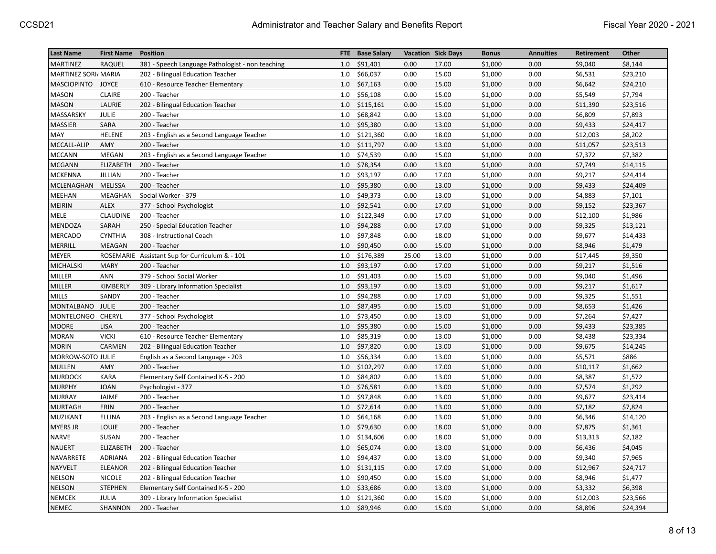| <b>Last Name</b>     | <b>First Name</b> | <b>Position</b>                                  | FTE. | <b>Base Salary</b> | <b>Vacation Sick Days</b> |       | <b>Bonus</b> | <b>Annuities</b> | Retirement | Other    |
|----------------------|-------------------|--------------------------------------------------|------|--------------------|---------------------------|-------|--------------|------------------|------------|----------|
| <b>MARTINEZ</b>      | RAQUEL            | 381 - Speech Language Pathologist - non teaching | 1.0  | \$91,401           | 0.00                      | 17.00 | \$1,000      | 0.00             | \$9,040    | \$8,144  |
| MARTINEZ SORI/ MARIA |                   | 202 - Bilingual Education Teacher                | 1.0  | \$66,037           | 0.00                      | 15.00 | \$1,000      | 0.00             | \$6,531    | \$23,210 |
| MASCIOPINTO JOYCE    |                   | 610 - Resource Teacher Elementary                | 1.0  | \$67,163           | 0.00                      | 15.00 | \$1,000      | 0.00             | \$6,642    | \$24,210 |
| <b>MASON</b>         | <b>CLAIRE</b>     | 200 - Teacher                                    | 1.0  | \$56,108           | 0.00                      | 15.00 | \$1,000      | 0.00             | \$5,549    | \$7,794  |
| <b>MASON</b>         | LAURIE            | 202 - Bilingual Education Teacher                | 1.0  | \$115,161          | 0.00                      | 15.00 | \$1,000      | 0.00             | \$11,390   | \$23,516 |
| MASSARSKY            | <b>JULIE</b>      | 200 - Teacher                                    | 1.0  | \$68,842           | 0.00                      | 13.00 | \$1,000      | 0.00             | \$6,809    | \$7,893  |
| MASSIER              | SARA              | 200 - Teacher                                    | 1.0  | \$95,380           | 0.00                      | 13.00 | \$1,000      | 0.00             | \$9,433    | \$24,417 |
| MAY                  | <b>HELENE</b>     | 203 - English as a Second Language Teacher       | 1.0  | \$121,360          | 0.00                      | 18.00 | \$1,000      | 0.00             | \$12,003   | \$8,202  |
| MCCALL-ALIP          | AMY               | 200 - Teacher                                    | 1.0  | \$111,797          | 0.00                      | 13.00 | \$1,000      | 0.00             | \$11,057   | \$23,513 |
| <b>MCCANN</b>        | MEGAN             | 203 - English as a Second Language Teacher       | 1.0  | \$74,539           | 0.00                      | 15.00 | \$1,000      | 0.00             | \$7,372    | \$7,382  |
| <b>MCGANN</b>        | ELIZABETH         | 200 - Teacher                                    | 1.0  | \$78,354           | 0.00                      | 13.00 | \$1,000      | 0.00             | \$7,749    | \$14,115 |
| <b>MCKENNA</b>       | JILLIAN           | 200 - Teacher                                    | 1.0  | \$93,197           | 0.00                      | 17.00 | \$1,000      | 0.00             | \$9,217    | \$24,414 |
| MCLENAGHAN           | <b>MELISSA</b>    | 200 - Teacher                                    | 1.0  | \$95,380           | 0.00                      | 13.00 | \$1,000      | 0.00             | \$9,433    | \$24,409 |
| <b>MEEHAN</b>        | MEAGHAN           | Social Worker - 379                              | 1.0  | \$49,373           | 0.00                      | 13.00 | \$1,000      | 0.00             | \$4,883    | \$7,101  |
| MEIRIN               | <b>ALEX</b>       | 377 - School Psychologist                        | 1.0  | \$92,541           | 0.00                      | 17.00 | \$1,000      | 0.00             | \$9,152    | \$23,367 |
| <b>MELE</b>          | <b>CLAUDINE</b>   | 200 - Teacher                                    | 1.0  | \$122,349          | 0.00                      | 17.00 | \$1,000      | 0.00             | \$12,100   | \$1,986  |
| <b>MENDOZA</b>       | SARAH             | 250 - Special Education Teacher                  | 1.0  | \$94,288           | 0.00                      | 17.00 | \$1,000      | 0.00             | \$9,325    | \$13,121 |
| <b>MERCADO</b>       | <b>CYNTHIA</b>    | 308 - Instructional Coach                        | 1.0  | \$97,848           | 0.00                      | 18.00 | \$1,000      | 0.00             | \$9,677    | \$14,433 |
| MERRILL              | <b>MEAGAN</b>     | 200 - Teacher                                    | 1.0  | \$90,450           | 0.00                      | 15.00 | \$1,000      | 0.00             | \$8,946    | \$1,479  |
| <b>MEYER</b>         |                   | ROSEMARIE Assistant Sup for Curriculum & - 101   | 1.0  | \$176,389          | 25.00                     | 13.00 | \$1,000      | 0.00             | \$17,445   | \$9,350  |
| MICHALSKI            | <b>MARY</b>       | 200 - Teacher                                    | 1.0  | \$93,197           | 0.00                      | 17.00 | \$1,000      | 0.00             | \$9,217    | \$1,516  |
| MILLER               | ANN               | 379 - School Social Worker                       | 1.0  | \$91,403           | 0.00                      | 15.00 | \$1,000      | 0.00             | \$9,040    | \$1,496  |
| <b>MILLER</b>        | KIMBERLY          | 309 - Library Information Specialist             | 1.0  | \$93,197           | 0.00                      | 13.00 | \$1,000      | 0.00             | \$9,217    | \$1,617  |
| <b>MILLS</b>         | SANDY             | 200 - Teacher                                    | 1.0  | \$94,288           | 0.00                      | 17.00 | \$1,000      | 0.00             | \$9,325    | \$1,551  |
| MONTALBANO           | JULIE             | 200 - Teacher                                    | 1.0  | \$87,495           | 0.00                      | 15.00 | \$1,000      | 0.00             | \$8,653    | \$1,426  |
| MONTELONGO CHERYL    |                   | 377 - School Psychologist                        | 1.0  | \$73,450           | 0.00                      | 13.00 | \$1,000      | 0.00             | \$7,264    | \$7,427  |
| <b>MOORE</b>         | LISA              | 200 - Teacher                                    | 1.0  | \$95,380           | 0.00                      | 15.00 | \$1,000      | 0.00             | \$9,433    | \$23,385 |
| <b>MORAN</b>         | <b>VICKI</b>      | 610 - Resource Teacher Elementary                | 1.0  | \$85,319           | 0.00                      | 13.00 | \$1,000      | 0.00             | \$8,438    | \$23,334 |
| <b>MORIN</b>         | CARMEN            | 202 - Bilingual Education Teacher                | 1.0  | \$97,820           | 0.00                      | 13.00 | \$1,000      | 0.00             | \$9,675    | \$14,245 |
| MORROW-SOTO JULIE    |                   | English as a Second Language - 203               | 1.0  | \$56,334           | 0.00                      | 13.00 | \$1,000      | 0.00             | \$5,571    | \$886    |
| <b>MULLEN</b>        | AMY               | 200 - Teacher                                    | 1.0  | \$102,297          | 0.00                      | 17.00 | \$1,000      | 0.00             | \$10,117   | \$1,662  |
| <b>MURDOCK</b>       | <b>KARA</b>       | Elementary Self Contained K-5 - 200              | 1.0  | \$84,802           | 0.00                      | 13.00 | \$1,000      | 0.00             | \$8,387    | \$1,572  |
| <b>MURPHY</b>        | <b>JOAN</b>       | Psychologist - 377                               | 1.0  | \$76,581           | 0.00                      | 13.00 | \$1,000      | 0.00             | \$7,574    | \$1,292  |
| <b>MURRAY</b>        | JAIME             | 200 - Teacher                                    | 1.0  | \$97,848           | 0.00                      | 13.00 | \$1,000      | 0.00             | \$9,677    | \$23,414 |
| <b>MURTAGH</b>       | ERIN              | 200 - Teacher                                    | 1.0  | \$72,614           | 0.00                      | 13.00 | \$1,000      | 0.00             | \$7,182    | \$7,824  |
| MUZIKANT             | <b>ELLINA</b>     | 203 - English as a Second Language Teacher       | 1.0  | \$64,168           | 0.00                      | 13.00 | \$1,000      | 0.00             | \$6,346    | \$14,120 |
| <b>MYERS JR</b>      | <b>LOUIE</b>      | 200 - Teacher                                    | 1.0  | \$79,630           | 0.00                      | 18.00 | \$1,000      | 0.00             | \$7,875    | \$1,361  |
| <b>NARVE</b>         | SUSAN             | 200 - Teacher                                    | 1.0  | \$134,606          | 0.00                      | 18.00 | \$1,000      | 0.00             | \$13,313   | \$2,182  |
| <b>NAUERT</b>        | ELIZABETH         | 200 - Teacher                                    | 1.0  | \$65,074           | 0.00                      | 13.00 | \$1,000      | 0.00             | \$6,436    | \$4,045  |
| NAVARRETE            | ADRIANA           | 202 - Bilingual Education Teacher                | 1.0  | \$94,437           | 0.00                      | 13.00 | \$1,000      | 0.00             | \$9,340    | \$7,965  |
| <b>NAYVELT</b>       | ELEANOR           | 202 - Bilingual Education Teacher                | 1.0  | \$131,115          | 0.00                      | 17.00 | \$1,000      | 0.00             | \$12,967   | \$24,717 |
| <b>NELSON</b>        | <b>NICOLE</b>     | 202 - Bilingual Education Teacher                | 1.0  | \$90,450           | 0.00                      | 15.00 | \$1,000      | 0.00             | \$8,946    | \$1,477  |
| <b>NELSON</b>        | <b>STEPHEN</b>    | Elementary Self Contained K-5 - 200              | 1.0  | \$33,686           | 0.00                      | 13.00 | \$1,000      | 0.00             | \$3,332    | \$6,398  |
| <b>NEMCEK</b>        | JULIA             | 309 - Library Information Specialist             | 1.0  | \$121,360          | 0.00                      | 15.00 | \$1,000      | 0.00             | \$12,003   | \$23,566 |
| <b>NEMEC</b>         | SHANNON           | 200 - Teacher                                    | 1.0  | \$89,946           | 0.00                      | 15.00 | \$1,000      | 0.00             | \$8,896    | \$24,394 |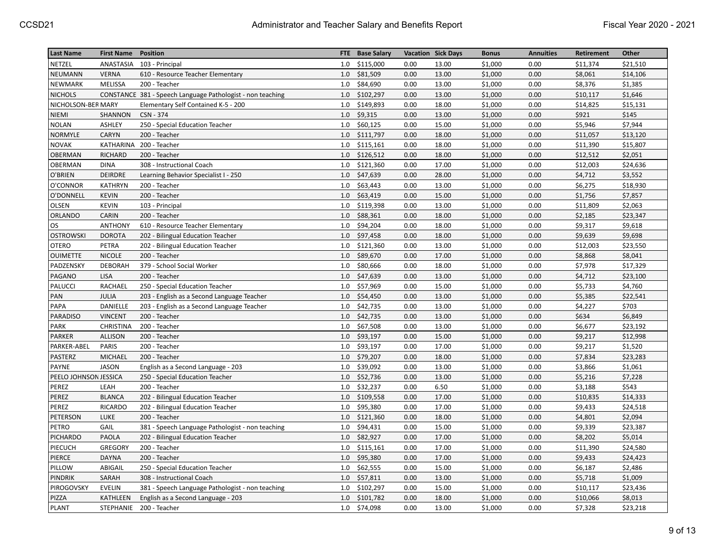| <b>Last Name</b>      | <b>First Name</b> | Position                                                   |     | FTE Base Salary |      | <b>Vacation Sick Days</b> | <b>Bonus</b> | <b>Annuities</b> | Retirement | Other    |
|-----------------------|-------------------|------------------------------------------------------------|-----|-----------------|------|---------------------------|--------------|------------------|------------|----------|
| NETZEL                |                   | ANASTASIA 103 - Principal                                  | 1.0 | \$115,000       | 0.00 | 13.00                     | \$1,000      | 0.00             | \$11,374   | \$21,510 |
| <b>NEUMANN</b>        | <b>VERNA</b>      | 610 - Resource Teacher Elementary                          | 1.0 | \$81,509        | 0.00 | 13.00                     | \$1,000      | 0.00             | \$8,061    | \$14,106 |
| NEWMARK               | <b>MELISSA</b>    | 200 - Teacher                                              | 1.0 | \$84,690        | 0.00 | 13.00                     | \$1,000      | 0.00             | \$8,376    | \$1,385  |
| <b>NICHOLS</b>        |                   | CONSTANCE 381 - Speech Language Pathologist - non teaching | 1.0 | \$102,297       | 0.00 | 13.00                     | \$1,000      | 0.00             | \$10,117   | \$1,646  |
| NICHOLSON-BER MARY    |                   | Elementary Self Contained K-5 - 200                        | 1.0 | \$149,893       | 0.00 | 18.00                     | \$1,000      | 0.00             | \$14,825   | \$15,131 |
| NIEMI                 | SHANNON           | CSN - 374                                                  | 1.0 | \$9,315         | 0.00 | 13.00                     | \$1,000      | 0.00             | \$921      | \$145    |
| <b>NOLAN</b>          | ASHLEY            | 250 - Special Education Teacher                            | 1.0 | \$60,125        | 0.00 | 15.00                     | \$1,000      | 0.00             | \$5,946    | \$7,944  |
| NORMYLE               | <b>CARYN</b>      | 200 - Teacher                                              | 1.0 | \$111,797       | 0.00 | 18.00                     | \$1,000      | 0.00             | \$11,057   | \$13,120 |
| NOVAK                 |                   | KATHARINA 200 - Teacher                                    | 1.0 | \$115,161       | 0.00 | 18.00                     | \$1,000      | 0.00             | \$11,390   | \$15,807 |
| <b>OBERMAN</b>        | RICHARD           | 200 - Teacher                                              | 1.0 | \$126,512       | 0.00 | 18.00                     | \$1,000      | 0.00             | \$12,512   | \$2,051  |
| OBERMAN               | <b>DINA</b>       | 308 - Instructional Coach                                  | 1.0 | \$121,360       | 0.00 | 17.00                     | \$1,000      | 0.00             | \$12,003   | \$24,636 |
| O'BRIEN               | <b>DEIRDRE</b>    | Learning Behavior Specialist I - 250                       | 1.0 | \$47,639        | 0.00 | 28.00                     | \$1,000      | 0.00             | \$4,712    | \$3,552  |
| O'CONNOR              | <b>KATHRYN</b>    | 200 - Teacher                                              | 1.0 | \$63,443        | 0.00 | 13.00                     | \$1,000      | 0.00             | \$6,275    | \$18,930 |
| O'DONNELL             | <b>KEVIN</b>      | 200 - Teacher                                              | 1.0 | \$63,419        | 0.00 | 15.00                     | \$1,000      | 0.00             | \$1,756    | \$7,857  |
| OLSEN                 | <b>KEVIN</b>      | 103 - Principal                                            | 1.0 | \$119,398       | 0.00 | 13.00                     | \$1,000      | 0.00             | \$11,809   | \$2,063  |
| ORLANDO               | <b>CARIN</b>      | 200 - Teacher                                              | 1.0 | \$88,361        | 0.00 | 18.00                     | \$1,000      | 0.00             | \$2,185    | \$23,347 |
| OS                    | <b>ANTHONY</b>    | 610 - Resource Teacher Elementary                          | 1.0 | \$94,204        | 0.00 | 18.00                     | \$1,000      | 0.00             | \$9,317    | \$9,618  |
| <b>OSTROWSKI</b>      | <b>DOROTA</b>     | 202 - Bilingual Education Teacher                          | 1.0 | \$97,458        | 0.00 | 18.00                     | \$1,000      | 0.00             | \$9,639    | \$9,698  |
| <b>OTERO</b>          | PETRA             | 202 - Bilingual Education Teacher                          | 1.0 | \$121,360       | 0.00 | 13.00                     | \$1,000      | 0.00             | \$12,003   | \$23,550 |
| <b>OUIMETTE</b>       | <b>NICOLE</b>     | 200 - Teacher                                              | 1.0 | \$89,670        | 0.00 | 17.00                     | \$1,000      | 0.00             | \$8,868    | \$8,041  |
| PADZENSKY             | <b>DEBORAH</b>    | 379 - School Social Worker                                 | 1.0 | \$80,666        | 0.00 | 18.00                     | \$1,000      | 0.00             | \$7,978    | \$17,329 |
| PAGANO                | <b>LISA</b>       | 200 - Teacher                                              | 1.0 | \$47,639        | 0.00 | 13.00                     | \$1,000      | 0.00             | \$4,712    | \$23,100 |
| PALUCCI               | RACHAEL           | 250 - Special Education Teacher                            | 1.0 | \$57,969        | 0.00 | 15.00                     | \$1,000      | 0.00             | \$5,733    | \$4,760  |
| PAN                   | JULIA             | 203 - English as a Second Language Teacher                 | 1.0 | \$54,450        | 0.00 | 13.00                     | \$1,000      | 0.00             | \$5,385    | \$22,541 |
| PAPA                  | DANIELLE          | 203 - English as a Second Language Teacher                 | 1.0 | \$42,735        | 0.00 | 13.00                     | \$1,000      | 0.00             | \$4,227    | \$703    |
| <b>PARADISO</b>       | <b>VINCENT</b>    | 200 - Teacher                                              | 1.0 | \$42,735        | 0.00 | 13.00                     | \$1,000      | 0.00             | \$634      | \$6,849  |
| PARK                  | <b>CHRISTINA</b>  | 200 - Teacher                                              | 1.0 | \$67,508        | 0.00 | 13.00                     | \$1,000      | 0.00             | \$6,677    | \$23,192 |
| PARKER                | <b>ALLISON</b>    | 200 - Teacher                                              | 1.0 | \$93,197        | 0.00 | 15.00                     | \$1,000      | 0.00             | \$9,217    | \$12,998 |
| PARKER-ABEL           | PARIS             | 200 - Teacher                                              | 1.0 | \$93,197        | 0.00 | 17.00                     | \$1,000      | 0.00             | \$9,217    | \$1,520  |
| <b>PASTERZ</b>        | MICHAEL           | 200 - Teacher                                              | 1.0 | \$79,207        | 0.00 | 18.00                     | \$1,000      | 0.00             | \$7,834    | \$23,283 |
| <b>PAYNE</b>          | <b>JASON</b>      | English as a Second Language - 203                         | 1.0 | \$39,092        | 0.00 | 13.00                     | \$1,000      | 0.00             | \$3,866    | \$1,061  |
| PEELO JOHNSON JESSICA |                   | 250 - Special Education Teacher                            | 1.0 | \$52,736        | 0.00 | 13.00                     | \$1,000      | 0.00             | \$5,216    | \$7,228  |
| PEREZ                 | LEAH              | 200 - Teacher                                              | 1.0 | \$32,237        | 0.00 | 6.50                      | \$1,000      | 0.00             | \$3,188    | \$543    |
| PEREZ                 | <b>BLANCA</b>     | 202 - Bilingual Education Teacher                          | 1.0 | \$109,558       | 0.00 | 17.00                     | \$1,000      | 0.00             | \$10,835   | \$14,333 |
| PEREZ                 | <b>RICARDO</b>    | 202 - Bilingual Education Teacher                          | 1.0 | \$95,380        | 0.00 | 17.00                     | \$1,000      | 0.00             | \$9,433    | \$24,518 |
| PETERSON              | LUKE              | 200 - Teacher                                              | 1.0 | \$121,360       | 0.00 | 18.00                     | \$1,000      | 0.00             | \$4,801    | \$2,094  |
| PETRO                 | GAIL              | 381 - Speech Language Pathologist - non teaching           | 1.0 | \$94,431        | 0.00 | 15.00                     | \$1,000      | 0.00             | \$9,339    | \$23,387 |
| PICHARDO              | PAOLA             | 202 - Bilingual Education Teacher                          | 1.0 | \$82,927        | 0.00 | 17.00                     | \$1,000      | 0.00             | \$8,202    | \$5,014  |
| PIECUCH               | <b>GREGORY</b>    | 200 - Teacher                                              | 1.0 | \$115,161       | 0.00 | 17.00                     | \$1,000      | 0.00             | \$11,390   | \$24,580 |
| PIERCE                | <b>DAYNA</b>      | 200 - Teacher                                              | 1.0 | \$95,380        | 0.00 | 17.00                     | \$1,000      | 0.00             | \$9,433    | \$24,423 |
| PILLOW                | ABIGAIL           | 250 - Special Education Teacher                            | 1.0 | \$62,555        | 0.00 | 15.00                     | \$1,000      | 0.00             | \$6,187    | \$2,486  |
| PINDRIK               | SARAH             | 308 - Instructional Coach                                  | 1.0 | \$57,811        | 0.00 | 13.00                     | \$1,000      | 0.00             | \$5,718    | \$1,009  |
| PIROGOVSKY            | <b>EVELIN</b>     | 381 - Speech Language Pathologist - non teaching           | 1.0 | \$102,297       | 0.00 | 15.00                     | \$1,000      | 0.00             | \$10,117   | \$23,436 |
| PIZZA                 | KATHLEEN          | English as a Second Language - 203                         | 1.0 | \$101,782       | 0.00 | 18.00                     | \$1,000      | 0.00             | \$10,066   | \$8,013  |
| <b>PLANT</b>          | STEPHANIE         | 200 - Teacher                                              | 1.0 | \$74,098        | 0.00 | 13.00                     | \$1,000      | 0.00             | \$7,328    | \$23,218 |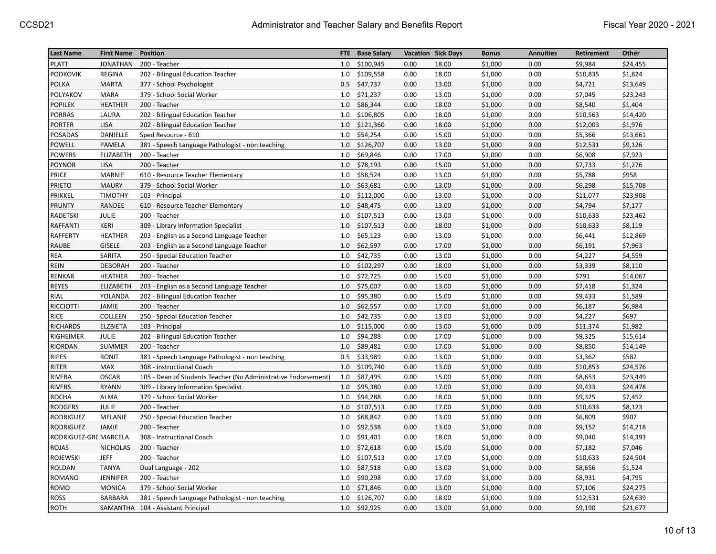| <b>Last Name</b>      | <b>First Name</b> | Position                                                       | <b>FTE</b> | <b>Base Salary</b> |      | <b>Vacation Sick Days</b> | <b>Bonus</b> | <b>Annuities</b> | Retirement | Other    |
|-----------------------|-------------------|----------------------------------------------------------------|------------|--------------------|------|---------------------------|--------------|------------------|------------|----------|
| <b>PLATT</b>          | <b>JONATHAN</b>   | 200 - Teacher                                                  | 1.0        | \$100,945          | 0.00 | 18.00                     | \$1,000      | 0.00             | \$9,984    | \$24,455 |
| PODKOVIK              | <b>REGINA</b>     | 202 - Bilingual Education Teacher                              | 1.0        | \$109,558          | 0.00 | 18.00                     | \$1,000      | 0.00             | \$10,835   | \$1,824  |
| POLKA                 | <b>MARTA</b>      | 377 - School Psychologist                                      | 0.5        | \$47,737           | 0.00 | 13.00                     | \$1,000      | 0.00             | \$4,721    | \$13,649 |
| POLYAKOV              | <b>MARA</b>       | 379 - School Social Worker                                     | 1.0        | \$71,237           | 0.00 | 13.00                     | \$1,000      | 0.00             | \$7,045    | \$23,243 |
| POPILEK               | <b>HEATHER</b>    | 200 - Teacher                                                  | 1.0        | \$86,344           | 0.00 | 18.00                     | \$1,000      | 0.00             | \$8,540    | \$1,404  |
| PORRAS                | LAURA             | 202 - Bilingual Education Teacher                              | 1.0        | \$106,805          | 0.00 | 18.00                     | \$1,000      | 0.00             | \$10,563   | \$14,420 |
| PORTER                | <b>LISA</b>       | 202 - Bilingual Education Teacher                              | 1.0        | \$121,360          | 0.00 | 18.00                     | \$1,000      | 0.00             | \$12,003   | \$1,976  |
| POSADAS               | DANIELLE          | Sped Resource - 610                                            | 1.0        | \$54,254           | 0.00 | 15.00                     | \$1,000      | 0.00             | \$5,366    | \$13,661 |
| POWELL                | PAMELA            | 381 - Speech Language Pathologist - non teaching               | 1.0        | \$126,707          | 0.00 | 13.00                     | \$1,000      | 0.00             | \$12,531   | \$9,126  |
| <b>POWERS</b>         | ELIZABETH         | 200 - Teacher                                                  | 1.0        | \$69,846           | 0.00 | 17.00                     | \$1,000      | 0.00             | \$6,908    | \$7,923  |
| <b>POYNOR</b>         | <b>LISA</b>       | 200 - Teacher                                                  | 1.0        | \$78,193           | 0.00 | 15.00                     | \$1,000      | 0.00             | \$7,733    | \$1,276  |
| PRICE                 | <b>MARNIE</b>     | 610 - Resource Teacher Elementary                              | 1.0        | \$58,524           | 0.00 | 13.00                     | \$1,000      | 0.00             | \$5,788    | \$958    |
| <b>PRIETO</b>         | <b>MAURY</b>      | 379 - School Social Worker                                     | 1.0        | \$63,681           | 0.00 | 13.00                     | \$1,000      | 0.00             | \$6,298    | \$15,708 |
| PRIKKEL               | <b>TIMOTHY</b>    | 103 - Principal                                                | 1.0        | \$112,000          | 0.00 | 13.00                     | \$1,000      | 0.00             | \$11,077   | \$23,908 |
| <b>PRUNTY</b>         | RANDEE            | 610 - Resource Teacher Elementary                              | 1.0        | \$48,475           | 0.00 | 13.00                     | \$1,000      | 0.00             | \$4,794    | \$7,177  |
| RADETSKI              | JULIE             | 200 - Teacher                                                  | 1.0        | \$107,513          | 0.00 | 13.00                     | \$1,000      | 0.00             | \$10,633   | \$23,462 |
| <b>RAFFANTI</b>       | KERI              | 309 - Library Information Specialist                           | 1.0        | \$107,513          | 0.00 | 18.00                     | \$1,000      | 0.00             | \$10,633   | \$8,119  |
| RAFFERTY              | <b>HEATHER</b>    | 203 - English as a Second Language Teacher                     | 1.0        | \$65,123           | 0.00 | 13.00                     | \$1,000      | 0.00             | \$6,441    | \$12,869 |
| RAUBE                 | <b>GISELE</b>     | 203 - English as a Second Language Teacher                     | 1.0        | \$62,597           | 0.00 | 17.00                     | \$1,000      | 0.00             | \$6,191    | \$7,963  |
| REA                   | SARITA            | 250 - Special Education Teacher                                | 1.0        | \$42,735           | 0.00 | 13.00                     | \$1,000      | 0.00             | \$4,227    | \$4,559  |
| REIN                  | <b>DEBORAH</b>    | 200 - Teacher                                                  | 1.0        | \$102,297          | 0.00 | 18.00                     | \$1,000      | 0.00             | \$3,339    | \$8,110  |
| RENKAR                | <b>HEATHER</b>    | 200 - Teacher                                                  | 1.0        | \$72,725           | 0.00 | 15.00                     | \$1,000      | 0.00             | \$791      | \$14,067 |
| <b>REYES</b>          | ELIZABETH         | 203 - English as a Second Language Teacher                     | 1.0        | \$75,007           | 0.00 | 13.00                     | \$1,000      | 0.00             | \$7,418    | \$1,324  |
| RIAL                  | YOLANDA           | 202 - Bilingual Education Teacher                              | 1.0        | \$95,380           | 0.00 | 15.00                     | \$1,000      | 0.00             | \$9,433    | \$1,589  |
| <b>RICCIOTTI</b>      | JAMIE             | 200 - Teacher                                                  | 1.0        | \$62,557           | 0.00 | 17.00                     | \$1,000      | 0.00             | \$6,187    | \$6,984  |
| <b>RICE</b>           | COLLEEN           | 250 - Special Education Teacher                                | 1.0        | \$42,735           | 0.00 | 13.00                     | \$1,000      | 0.00             | \$4,227    | \$697    |
| <b>RICHARDS</b>       | <b>ELZBIETA</b>   | 103 - Principal                                                | 1.0        | \$115,000          | 0.00 | 13.00                     | \$1,000      | 0.00             | \$11,374   | \$1,982  |
| RIGHEIMER             | JULIE             | 202 - Bilingual Education Teacher                              | 1.0        | \$94,288           | 0.00 | 17.00                     | \$1,000      | 0.00             | \$9,325    | \$15,614 |
| RIORDAN               | SUMMER            | 200 - Teacher                                                  | 1.0        | \$89,481           | 0.00 | 17.00                     | \$1,000      | 0.00             | \$8,850    | \$14,149 |
| <b>RIPES</b>          | <b>RONIT</b>      | 381 - Speech Language Pathologist - non teaching               | 0.5        | \$33,989           | 0.00 | 13.00                     | \$1,000      | 0.00             | \$3,362    | \$582    |
| RITER                 | <b>MAX</b>        | 308 - Instructional Coach                                      | 1.0        | \$109,740          | 0.00 | 13.00                     | \$1,000      | 0.00             | \$10,853   | \$24,576 |
| RIVERA                | <b>OSCAR</b>      | 105 - Dean of Students Teacher (No Administrative Endorsement) | 1.0        | \$87,495           | 0.00 | 15.00                     | \$1,000      | 0.00             | \$8,653    | \$23,449 |
| <b>RIVERS</b>         | <b>RYANN</b>      | 309 - Library Information Specialist                           | 1.0        | \$95,380           | 0.00 | 17.00                     | \$1,000      | 0.00             | \$9,433    | \$24,478 |
| <b>ROCHA</b>          | ALMA              | 379 - School Social Worker                                     | 1.0        | \$94,288           | 0.00 | 18.00                     | \$1,000      | 0.00             | \$9,325    | \$7,452  |
| <b>RODGERS</b>        | JULIE             | 200 - Teacher                                                  | 1.0        | \$107,513          | 0.00 | 17.00                     | \$1,000      | 0.00             | \$10,633   | \$8,123  |
| <b>RODRIGUEZ</b>      | MELANIE           | 250 - Special Education Teacher                                | 1.0        | \$68,842           | 0.00 | 13.00                     | \$1,000      | 0.00             | \$6,809    | \$907    |
| <b>RODRIGUEZ</b>      | JAMIE             | 200 - Teacher                                                  | 1.0        | \$92,538           | 0.00 | 13.00                     | \$1,000      | 0.00             | \$9,152    | \$14,218 |
| RODRIGUEZ-GRC MARCELA |                   | 308 - Instructional Coach                                      | 1.0        | \$91,401           | 0.00 | 18.00                     | \$1,000      | 0.00             | \$9,040    | \$14,393 |
| <b>ROJAS</b>          | <b>NICHOLAS</b>   | 200 - Teacher                                                  | 1.0        | \$72,618           | 0.00 | 15.00                     | \$1,000      | 0.00             | \$7,182    | \$7,046  |
| <b>ROJEWSKI</b>       | <b>JEFF</b>       | 200 - Teacher                                                  | 1.0        | \$107,513          | 0.00 | 17.00                     | \$1,000      | 0.00             | \$10,633   | \$24,504 |
| <b>ROLDAN</b>         | <b>TANYA</b>      | Dual Language - 202                                            | 1.0        | \$87,518           | 0.00 | 13.00                     | \$1,000      | 0.00             | \$8,656    | \$1,524  |
| <b>ROMANO</b>         | <b>JENNIFER</b>   | 200 - Teacher                                                  | 1.0        | \$90,298           | 0.00 | 17.00                     | \$1,000      | 0.00             | \$8,931    | \$4,795  |
| <b>ROMO</b>           | <b>MONICA</b>     | 379 - School Social Worker                                     | 1.0        | \$71,846           | 0.00 | 13.00                     | \$1,000      | 0.00             | \$7,106    | \$24,275 |
| <b>ROSS</b>           | <b>BARBARA</b>    | 381 - Speech Language Pathologist - non teaching               | 1.0        | \$126,707          | 0.00 | 18.00                     | \$1,000      | 0.00             | \$12,531   | \$24,639 |
| <b>ROTH</b>           |                   | SAMANTHA 104 - Assistant Principal                             |            | 1.0 \$92,925       | 0.00 | 13.00                     | \$1,000      | 0.00             | \$9,190    | \$21,677 |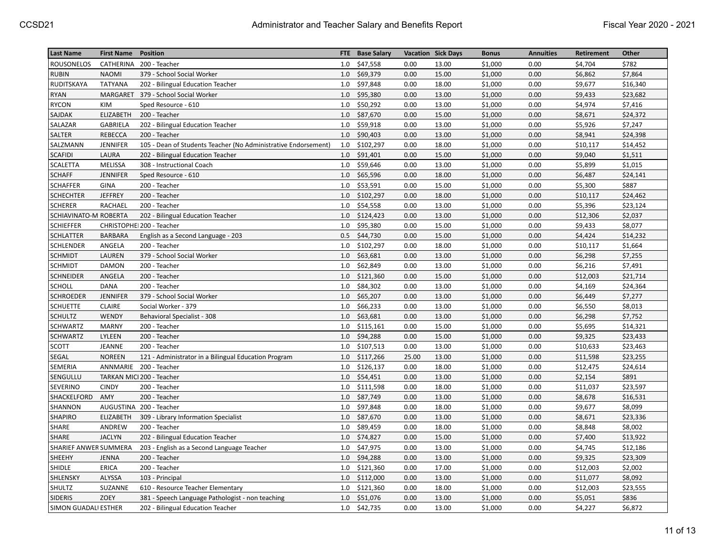| <b>Last Name</b>      | <b>First Name</b> | <b>Position</b>                                                | <b>FTE</b> | <b>Base Salary</b> |       | <b>Vacation Sick Days</b> | <b>Bonus</b> | <b>Annuities</b> | Retirement | Other    |
|-----------------------|-------------------|----------------------------------------------------------------|------------|--------------------|-------|---------------------------|--------------|------------------|------------|----------|
| <b>ROUSONELOS</b>     |                   | CATHERINA 200 - Teacher                                        | 1.0        | \$47,558           | 0.00  | 13.00                     | \$1,000      | 0.00             | \$4,704    | \$782    |
| <b>RUBIN</b>          | <b>NAOMI</b>      | 379 - School Social Worker                                     | 1.0        | \$69,379           | 0.00  | 15.00                     | \$1,000      | 0.00             | \$6,862    | \$7,864  |
| RUDITSKAYA            | <b>TATYANA</b>    | 202 - Bilingual Education Teacher                              | 1.0        | \$97,848           | 0.00  | 18.00                     | \$1,000      | 0.00             | \$9,677    | \$16,340 |
| <b>RYAN</b>           |                   | MARGARET 379 - School Social Worker                            | 1.0        | \$95,380           | 0.00  | 13.00                     | \$1,000      | 0.00             | \$9,433    | \$23,682 |
| <b>RYCON</b>          | KIM               | Sped Resource - 610                                            | 1.0        | \$50,292           | 0.00  | 13.00                     | \$1,000      | 0.00             | \$4,974    | \$7,416  |
| SAJDAK                | ELIZABETH         | 200 - Teacher                                                  | 1.0        | \$87,670           | 0.00  | 15.00                     | \$1,000      | 0.00             | \$8,671    | \$24,372 |
| SALAZAR               | <b>GABRIELA</b>   | 202 - Bilingual Education Teacher                              | 1.0        | \$59,918           | 0.00  | 13.00                     | \$1,000      | 0.00             | \$5,926    | \$7,247  |
| SALTER                | <b>REBECCA</b>    | 200 - Teacher                                                  | 1.0        | \$90,403           | 0.00  | 13.00                     | \$1,000      | 0.00             | \$8,941    | \$24,398 |
| SALZMANN              | <b>JENNIFER</b>   | 105 - Dean of Students Teacher (No Administrative Endorsement) | 1.0        | \$102,297          | 0.00  | 18.00                     | \$1,000      | 0.00             | \$10,117   | \$14,452 |
| <b>SCAFIDI</b>        | LAURA             | 202 - Bilingual Education Teacher                              | 1.0        | \$91,401           | 0.00  | 15.00                     | \$1,000      | 0.00             | \$9,040    | \$1,511  |
| <b>SCALETTA</b>       | MELISSA           | 308 - Instructional Coach                                      | 1.0        | \$59,646           | 0.00  | 13.00                     | \$1,000      | 0.00             | \$5,899    | \$1,015  |
| <b>SCHAFF</b>         | <b>JENNIFER</b>   | Sped Resource - 610                                            | 1.0        | \$65,596           | 0.00  | 18.00                     | \$1,000      | 0.00             | \$6,487    | \$24,141 |
| <b>SCHAFFER</b>       | <b>GINA</b>       | 200 - Teacher                                                  | 1.0        | \$53,591           | 0.00  | 15.00                     | \$1,000      | 0.00             | \$5,300    | \$887    |
| <b>SCHECHTER</b>      | <b>JEFFREY</b>    | 200 - Teacher                                                  | 1.0        | \$102,297          | 0.00  | 18.00                     | \$1,000      | 0.00             | \$10,117   | \$24,462 |
| <b>SCHERER</b>        | RACHAEL           | 200 - Teacher                                                  | 1.0        | \$54,558           | 0.00  | 13.00                     | \$1,000      | 0.00             | \$5,396    | \$23,124 |
| SCHIAVINATO-M ROBERTA |                   | 202 - Bilingual Education Teacher                              | 1.0        | \$124,423          | 0.00  | 13.00                     | \$1,000      | 0.00             | \$12,306   | \$2,037  |
| <b>SCHIEFFER</b>      |                   | CHRISTOPHEI 200 - Teacher                                      | 1.0        | \$95,380           | 0.00  | 15.00                     | \$1,000      | 0.00             | \$9,433    | \$8,077  |
| <b>SCHLATTER</b>      | <b>BARBARA</b>    | English as a Second Language - 203                             | 0.5        | \$44,730           | 0.00  | 15.00                     | \$1,000      | 0.00             | \$4,424    | \$14,232 |
| SCHLENDER             | ANGELA            | 200 - Teacher                                                  | 1.0        | \$102,297          | 0.00  | 18.00                     | \$1,000      | 0.00             | \$10,117   | \$1,664  |
| <b>SCHMIDT</b>        | LAUREN            | 379 - School Social Worker                                     | 1.0        | \$63,681           | 0.00  | 13.00                     | \$1,000      | 0.00             | \$6,298    | \$7,255  |
| <b>SCHMIDT</b>        | <b>DAMON</b>      | 200 - Teacher                                                  | 1.0        | \$62,849           | 0.00  | 13.00                     | \$1,000      | 0.00             | \$6,216    | \$7,491  |
| <b>SCHNEIDER</b>      | ANGELA            | 200 - Teacher                                                  | 1.0        | \$121,360          | 0.00  | 15.00                     | \$1,000      | 0.00             | \$12,003   | \$21,714 |
| SCHOLL                | <b>DANA</b>       | 200 - Teacher                                                  | 1.0        | \$84,302           | 0.00  | 13.00                     | \$1,000      | 0.00             | \$4,169    | \$24,364 |
| <b>SCHROEDER</b>      | <b>JENNIFER</b>   | 379 - School Social Worker                                     | 1.0        | \$65,207           | 0.00  | 13.00                     | \$1,000      | 0.00             | \$6,449    | \$7,277  |
| <b>SCHUETTE</b>       | <b>CLAIRE</b>     | Social Worker - 379                                            | 1.0        | \$66,233           | 0.00  | 13.00                     | \$1,000      | 0.00             | \$6,550    | \$8,013  |
| <b>SCHULTZ</b>        | WENDY             | Behavioral Specialist - 308                                    | 1.0        | \$63,681           | 0.00  | 13.00                     | \$1,000      | 0.00             | \$6,298    | \$7,752  |
| <b>SCHWARTZ</b>       | <b>MARNY</b>      | 200 - Teacher                                                  | 1.0        | \$115,161          | 0.00  | 15.00                     | \$1,000      | 0.00             | \$5,695    | \$14,321 |
| SCHWARTZ              | LYLEEN            | 200 - Teacher                                                  | 1.0        | \$94,288           | 0.00  | 15.00                     | \$1,000      | 0.00             | \$9,325    | \$23,433 |
| <b>SCOTT</b>          | JEANNE            | 200 - Teacher                                                  | 1.0        | \$107,513          | 0.00  | 13.00                     | \$1,000      | 0.00             | \$10,633   | \$23,463 |
| SEGAL                 | <b>NOREEN</b>     | 121 - Administrator in a Bilingual Education Program           | 1.0        | \$117,266          | 25.00 | 13.00                     | \$1,000      | 0.00             | \$11,598   | \$23,255 |
| SEMERIA               |                   | ANNMARIE 200 - Teacher                                         | 1.0        | \$126,137          | 0.00  | 18.00                     | \$1,000      | 0.00             | \$12,475   | \$24,614 |
| SENGULLU              |                   | TARKAN MICI 200 - Teacher                                      | 1.0        | \$54,451           | 0.00  | 13.00                     | \$1,000      | 0.00             | \$2,154    | \$891    |
| SEVERINO              | <b>CINDY</b>      | 200 - Teacher                                                  | 1.0        | \$111,598          | 0.00  | 18.00                     | \$1,000      | 0.00             | \$11,037   | \$23,597 |
| SHACKELFORD           | AMY               | 200 - Teacher                                                  | 1.0        | \$87,749           | 0.00  | 13.00                     | \$1,000      | 0.00             | \$8,678    | \$16,531 |
| SHANNON               |                   | AUGUSTINA 200 - Teacher                                        | 1.0        | \$97,848           | 0.00  | 18.00                     | \$1,000      | 0.00             | \$9,677    | \$8,099  |
| <b>SHAPIRO</b>        | ELIZABETH         | 309 - Library Information Specialist                           | 1.0        | \$87,670           | 0.00  | 13.00                     | \$1,000      | 0.00             | \$8,671    | \$23,336 |
| SHARE                 | ANDREW            | 200 - Teacher                                                  | 1.0        | \$89,459           | 0.00  | 18.00                     | \$1,000      | 0.00             | \$8,848    | \$8,002  |
| <b>SHARE</b>          | <b>JACLYN</b>     | 202 - Bilingual Education Teacher                              | 1.0        | \$74,827           | 0.00  | 15.00                     | \$1,000      | 0.00             | \$7,400    | \$13,922 |
| SHARIEF ANWER SUMMERA |                   | 203 - English as a Second Language Teacher                     | 1.0        | \$47,975           | 0.00  | 13.00                     | \$1,000      | 0.00             | \$4,745    | \$12,186 |
| SHEEHY                | JENNA             | 200 - Teacher                                                  | 1.0        | \$94,288           | 0.00  | 13.00                     | \$1,000      | 0.00             | \$9,325    | \$23,309 |
| SHIDLE                | <b>ERICA</b>      | 200 - Teacher                                                  | 1.0        | \$121,360          | 0.00  | 17.00                     | \$1,000      | 0.00             | \$12,003   | \$2,002  |
| SHLENSKY              | ALYSSA            | 103 - Principal                                                | 1.0        | \$112,000          | 0.00  | 13.00                     | \$1,000      | 0.00             | \$11,077   | \$8,092  |
| SHULTZ                | SUZANNE           | 610 - Resource Teacher Elementary                              | 1.0        | \$121,360          | 0.00  | 18.00                     | \$1,000      | 0.00             | \$12,003   | \$23,555 |
| <b>SIDERIS</b>        | ZOEY              | 381 - Speech Language Pathologist - non teaching               | 1.0        | \$51,076           | 0.00  | 13.00                     | \$1,000      | 0.00             | \$5,051    | \$836    |
| SIMON GUADALI ESTHER  |                   | 202 - Bilingual Education Teacher                              | 1.0        | \$42,735           | 0.00  | 13.00                     | \$1,000      | 0.00             | \$4,227    | \$6,872  |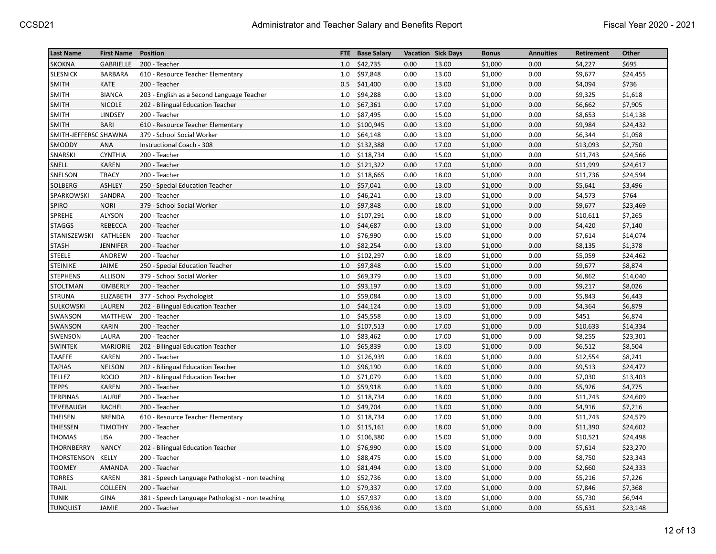| <b>Last Name</b>      | <b>First Name</b> | <b>Position</b>                                  | FTE | <b>Base Salary</b> |      | <b>Vacation Sick Days</b> | <b>Bonus</b> | <b>Annuities</b> | Retirement | Other    |
|-----------------------|-------------------|--------------------------------------------------|-----|--------------------|------|---------------------------|--------------|------------------|------------|----------|
| <b>SKOKNA</b>         | <b>GABRIELLE</b>  | 200 - Teacher                                    | 1.0 | \$42,735           | 0.00 | 13.00                     | \$1,000      | 0.00             | \$4,227    | \$695    |
| SLESNICK              | BARBARA           | 610 - Resource Teacher Elementary                | 1.0 | \$97,848           | 0.00 | 13.00                     | \$1,000      | 0.00             | \$9,677    | \$24,455 |
| SMITH                 | <b>KATE</b>       | 200 - Teacher                                    | 0.5 | \$41,400           | 0.00 | 13.00                     | \$1,000      | 0.00             | \$4,094    | \$736    |
| <b>SMITH</b>          | <b>BIANCA</b>     | 203 - English as a Second Language Teacher       | 1.0 | \$94,288           | 0.00 | 13.00                     | \$1,000      | 0.00             | \$9,325    | \$1,618  |
| <b>SMITH</b>          | <b>NICOLE</b>     | 202 - Bilingual Education Teacher                | 1.0 | \$67,361           | 0.00 | 17.00                     | \$1,000      | 0.00             | \$6,662    | \$7,905  |
| <b>SMITH</b>          | LINDSEY           | 200 - Teacher                                    | 1.0 | \$87,495           | 0.00 | 15.00                     | \$1,000      | 0.00             | \$8,653    | \$14,138 |
| SMITH                 | <b>BARI</b>       | 610 - Resource Teacher Elementary                | 1.0 | \$100,945          | 0.00 | 13.00                     | \$1,000      | 0.00             | \$9,984    | \$24,432 |
| SMITH-JEFFERSC SHAWNA |                   | 379 - School Social Worker                       | 1.0 | \$64,148           | 0.00 | 13.00                     | \$1,000      | 0.00             | \$6,344    | \$1,058  |
| SMOODY                | ANA               | Instructional Coach - 308                        | 1.0 | \$132,388          | 0.00 | 17.00                     | \$1,000      | 0.00             | \$13,093   | \$2,750  |
| SNARSKI               | <b>CYNTHIA</b>    | 200 - Teacher                                    | 1.0 | \$118,734          | 0.00 | 15.00                     | \$1,000      | 0.00             | \$11,743   | \$24,566 |
| SNELL                 | <b>KAREN</b>      | 200 - Teacher                                    | 1.0 | \$121,322          | 0.00 | 17.00                     | \$1,000      | 0.00             | \$11,999   | \$24,617 |
| SNELSON               | <b>TRACY</b>      | 200 - Teacher                                    | 1.0 | \$118,665          | 0.00 | 18.00                     | \$1,000      | 0.00             | \$11,736   | \$24,594 |
| SOLBERG               | <b>ASHLEY</b>     | 250 - Special Education Teacher                  | 1.0 | \$57,041           | 0.00 | 13.00                     | \$1,000      | 0.00             | \$5,641    | \$3,496  |
| SPARKOWSKI            | SANDRA            | 200 - Teacher                                    | 1.0 | \$46,241           | 0.00 | 13.00                     | \$1,000      | 0.00             | \$4,573    | \$764    |
| <b>SPIRO</b>          | <b>NORI</b>       | 379 - School Social Worker                       | 1.0 | \$97,848           | 0.00 | 18.00                     | \$1,000      | 0.00             | \$9,677    | \$23,469 |
| SPREHE                | ALYSON            | 200 - Teacher                                    | 1.0 | \$107,291          | 0.00 | 18.00                     | \$1,000      | 0.00             | \$10,611   | \$7,265  |
| <b>STAGGS</b>         | REBECCA           | 200 - Teacher                                    | 1.0 | \$44,687           | 0.00 | 13.00                     | \$1,000      | 0.00             | \$4,420    | \$7,140  |
| STANISZEWSKI          | KATHLEEN          | 200 - Teacher                                    | 1.0 | \$76,990           | 0.00 | 15.00                     | \$1,000      | 0.00             | \$7,614    | \$14,074 |
| <b>STASH</b>          | <b>JENNIFER</b>   | 200 - Teacher                                    | 1.0 | \$82,254           | 0.00 | 13.00                     | \$1,000      | 0.00             | \$8,135    | \$1,378  |
| <b>STEELE</b>         | ANDREW            | 200 - Teacher                                    | 1.0 | \$102,297          | 0.00 | 18.00                     | \$1,000      | 0.00             | \$5,059    | \$24,462 |
| <b>STEINIKE</b>       | JAIME             | 250 - Special Education Teacher                  | 1.0 | \$97,848           | 0.00 | 15.00                     | \$1,000      | 0.00             | \$9,677    | \$8,874  |
| <b>STEPHENS</b>       | <b>ALLISON</b>    | 379 - School Social Worker                       | 1.0 | \$69,379           | 0.00 | 13.00                     | \$1,000      | 0.00             | \$6,862    | \$14,040 |
| <b>STOLTMAN</b>       | KIMBERLY          | 200 - Teacher                                    | 1.0 | \$93,197           | 0.00 | 13.00                     | \$1,000      | 0.00             | \$9,217    | \$8,026  |
| STRUNA                | <b>ELIZABETH</b>  | 377 - School Psychologist                        | 1.0 | \$59,084           | 0.00 | 13.00                     | \$1,000      | 0.00             | \$5,843    | \$6,443  |
| SULKOWSKI             | LAUREN            | 202 - Bilingual Education Teacher                | 1.0 | \$44,124           | 0.00 | 13.00                     | \$1,000      | 0.00             | \$4,364    | \$6,879  |
| SWANSON               | MATTHEW           | 200 - Teacher                                    | 1.0 | \$45,558           | 0.00 | 13.00                     | \$1,000      | 0.00             | \$451      | \$6,874  |
| SWANSON               | <b>KARIN</b>      | 200 - Teacher                                    | 1.0 | \$107,513          | 0.00 | 17.00                     | \$1,000      | 0.00             | \$10,633   | \$14,334 |
| SWENSON               | LAURA             | 200 - Teacher                                    | 1.0 | \$83,462           | 0.00 | 17.00                     | \$1,000      | 0.00             | \$8,255    | \$23,301 |
| <b>SWINTEK</b>        | <b>MARJORIE</b>   | 202 - Bilingual Education Teacher                | 1.0 | \$65,839           | 0.00 | 13.00                     | \$1,000      | 0.00             | \$6,512    | \$8,504  |
| <b>TAAFFE</b>         | <b>KAREN</b>      | 200 - Teacher                                    | 1.0 | \$126,939          | 0.00 | 18.00                     | \$1,000      | 0.00             | \$12,554   | \$8,241  |
| <b>TAPIAS</b>         | <b>NELSON</b>     | 202 - Bilingual Education Teacher                | 1.0 | \$96,190           | 0.00 | 18.00                     | \$1,000      | 0.00             | \$9,513    | \$24,472 |
| <b>TELLEZ</b>         | <b>ROCIO</b>      | 202 - Bilingual Education Teacher                | 1.0 | \$71,079           | 0.00 | 13.00                     | \$1,000      | 0.00             | \$7,030    | \$13,403 |
| <b>TEPPS</b>          | <b>KAREN</b>      | 200 - Teacher                                    | 1.0 | \$59,918           | 0.00 | 13.00                     | \$1,000      | 0.00             | \$5,926    | \$4,775  |
| <b>TERPINAS</b>       | LAURIE            | 200 - Teacher                                    | 1.0 | \$118,734          | 0.00 | 18.00                     | \$1,000      | 0.00             | \$11,743   | \$24,609 |
| <b>TEVEBAUGH</b>      | <b>RACHEL</b>     | 200 - Teacher                                    | 1.0 | \$49,704           | 0.00 | 13.00                     | \$1,000      | 0.00             | \$4,916    | \$7,216  |
| <b>THEISEN</b>        | <b>BRENDA</b>     | 610 - Resource Teacher Elementary                | 1.0 | \$118,734          | 0.00 | 17.00                     | \$1,000      | 0.00             | \$11,743   | \$24,579 |
| THIESSEN              | <b>TIMOTHY</b>    | 200 - Teacher                                    | 1.0 | \$115,161          | 0.00 | 18.00                     | \$1,000      | 0.00             | \$11,390   | \$24,602 |
| <b>THOMAS</b>         | LISA              | 200 - Teacher                                    | 1.0 | \$106,380          | 0.00 | 15.00                     | \$1,000      | 0.00             | \$10,521   | \$24,498 |
| THORNBERRY            | <b>NANCY</b>      | 202 - Bilingual Education Teacher                | 1.0 | \$76,990           | 0.00 | 15.00                     | \$1,000      | 0.00             | \$7,614    | \$23,270 |
| THORSTENSON KELLY     |                   | 200 - Teacher                                    | 1.0 | \$88,475           | 0.00 | 15.00                     | \$1,000      | 0.00             | \$8,750    | \$23,343 |
| <b>TOOMEY</b>         | AMANDA            | 200 - Teacher                                    | 1.0 | \$81,494           | 0.00 | 13.00                     | \$1,000      | 0.00             | \$2,660    | \$24,333 |
| <b>TORRES</b>         | <b>KAREN</b>      | 381 - Speech Language Pathologist - non teaching | 1.0 | \$52,736           | 0.00 | 13.00                     | \$1,000      | 0.00             | \$5,216    | \$7,226  |
| <b>TRAIL</b>          | <b>COLLEEN</b>    | 200 - Teacher                                    | 1.0 | \$79,337           | 0.00 | 17.00                     | \$1,000      | 0.00             | \$7,846    | \$7,368  |
| <b>TUNIK</b>          | <b>GINA</b>       | 381 - Speech Language Pathologist - non teaching | 1.0 | \$57,937           | 0.00 | 13.00                     | \$1,000      | 0.00             | \$5,730    | \$6,944  |
| <b>TUNQUIST</b>       | <b>JAMIE</b>      | 200 - Teacher                                    | 1.0 | \$56,936           | 0.00 | 13.00                     | \$1,000      | 0.00             | \$5,631    | \$23,148 |